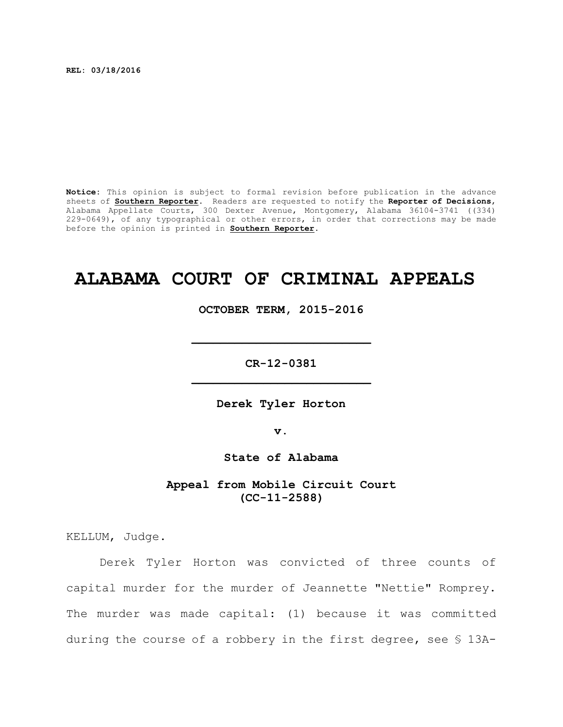**REL: 03/18/2016**

**Notice:** This opinion is subject to formal revision before publication in the advance sheets of **Southern Reporter**. Readers are requested to notify the **Reporter of Decisions**, Alabama Appellate Courts, 300 Dexter Avenue, Montgomery, Alabama 36104-3741 ((334) 229-0649), of any typographical or other errors, in order that corrections may be made before the opinion is printed in **Southern Reporter**.

# **ALABAMA COURT OF CRIMINAL APPEALS**

**OCTOBER TERM, 2015-2016**

**\_\_\_\_\_\_\_\_\_\_\_\_\_\_\_\_\_\_\_\_\_\_\_\_\_**

**CR-12-0381 \_\_\_\_\_\_\_\_\_\_\_\_\_\_\_\_\_\_\_\_\_\_\_\_\_**

**Derek Tyler Horton**

**v.**

**State of Alabama**

**Appeal from Mobile Circuit Court (CC-11-2588)**

KELLUM, Judge.

Derek Tyler Horton was convicted of three counts of capital murder for the murder of Jeannette "Nettie" Romprey. The murder was made capital: (1) because it was committed during the course of a robbery in the first degree, see § 13A-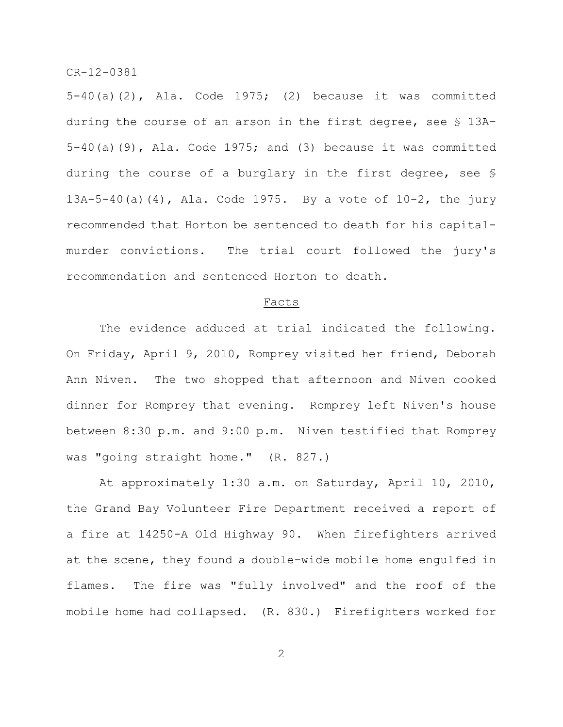$5-40(a)(2)$ , Ala. Code 1975; (2) because it was committed during the course of an arson in the first degree, see § 13A-5-40(a)(9), Ala. Code 1975; and (3) because it was committed during the course of a burglary in the first degree, see § 13A-5-40(a)(4), Ala. Code 1975. By a vote of 10-2, the jury recommended that Horton be sentenced to death for his capitalmurder convictions. The trial court followed the jury's recommendation and sentenced Horton to death.

## Facts

The evidence adduced at trial indicated the following. On Friday, April 9, 2010, Romprey visited her friend, Deborah Ann Niven. The two shopped that afternoon and Niven cooked dinner for Romprey that evening. Romprey left Niven's house between 8:30 p.m. and 9:00 p.m. Niven testified that Romprey was "going straight home." (R. 827.)

At approximately 1:30 a.m. on Saturday, April 10, 2010, the Grand Bay Volunteer Fire Department received a report of a fire at 14250-A Old Highway 90. When firefighters arrived at the scene, they found a double-wide mobile home engulfed in flames. The fire was "fully involved" and the roof of the mobile home had collapsed. (R. 830.) Firefighters worked for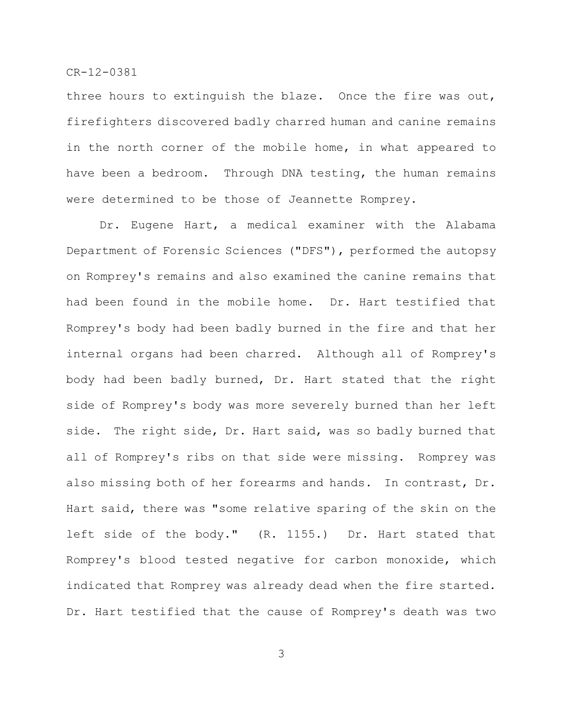three hours to extinguish the blaze. Once the fire was out, firefighters discovered badly charred human and canine remains in the north corner of the mobile home, in what appeared to have been a bedroom. Through DNA testing, the human remains were determined to be those of Jeannette Romprey.

Dr. Eugene Hart, a medical examiner with the Alabama Department of Forensic Sciences ("DFS"), performed the autopsy on Romprey's remains and also examined the canine remains that had been found in the mobile home. Dr. Hart testified that Romprey's body had been badly burned in the fire and that her internal organs had been charred. Although all of Romprey's body had been badly burned, Dr. Hart stated that the right side of Romprey's body was more severely burned than her left side. The right side, Dr. Hart said, was so badly burned that all of Romprey's ribs on that side were missing. Romprey was also missing both of her forearms and hands. In contrast, Dr. Hart said, there was "some relative sparing of the skin on the left side of the body." (R. 1155.) Dr. Hart stated that Romprey's blood tested negative for carbon monoxide, which indicated that Romprey was already dead when the fire started. Dr. Hart testified that the cause of Romprey's death was two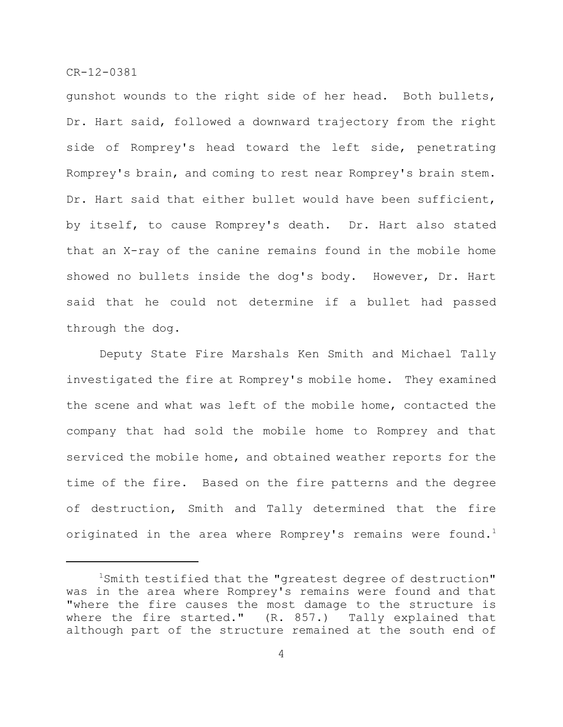gunshot wounds to the right side of her head. Both bullets, Dr. Hart said, followed a downward trajectory from the right side of Romprey's head toward the left side, penetrating Romprey's brain, and coming to rest near Romprey's brain stem. Dr. Hart said that either bullet would have been sufficient, by itself, to cause Romprey's death. Dr. Hart also stated that an X-ray of the canine remains found in the mobile home showed no bullets inside the dog's body. However, Dr. Hart said that he could not determine if a bullet had passed through the dog.

Deputy State Fire Marshals Ken Smith and Michael Tally investigated the fire at Romprey's mobile home. They examined the scene and what was left of the mobile home, contacted the company that had sold the mobile home to Romprey and that serviced the mobile home, and obtained weather reports for the time of the fire. Based on the fire patterns and the degree of destruction, Smith and Tally determined that the fire originated in the area where Romprey's remains were found.<sup>1</sup>

 $1$ Smith testified that the "greatest degree of destruction" was in the area where Romprey's remains were found and that "where the fire causes the most damage to the structure is where the fire started." (R. 857.) Tally explained that although part of the structure remained at the south end of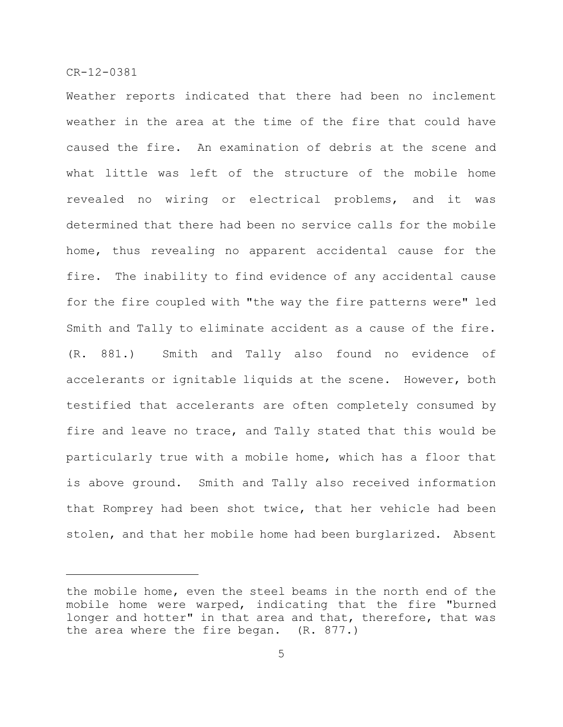Weather reports indicated that there had been no inclement weather in the area at the time of the fire that could have caused the fire. An examination of debris at the scene and what little was left of the structure of the mobile home revealed no wiring or electrical problems, and it was determined that there had been no service calls for the mobile home, thus revealing no apparent accidental cause for the fire. The inability to find evidence of any accidental cause for the fire coupled with "the way the fire patterns were" led Smith and Tally to eliminate accident as a cause of the fire. (R. 881.) Smith and Tally also found no evidence of accelerants or ignitable liquids at the scene. However, both testified that accelerants are often completely consumed by fire and leave no trace, and Tally stated that this would be particularly true with a mobile home, which has a floor that is above ground. Smith and Tally also received information that Romprey had been shot twice, that her vehicle had been stolen, and that her mobile home had been burglarized. Absent

the mobile home, even the steel beams in the north end of the mobile home were warped, indicating that the fire "burned longer and hotter" in that area and that, therefore, that was the area where the fire began. (R. 877.)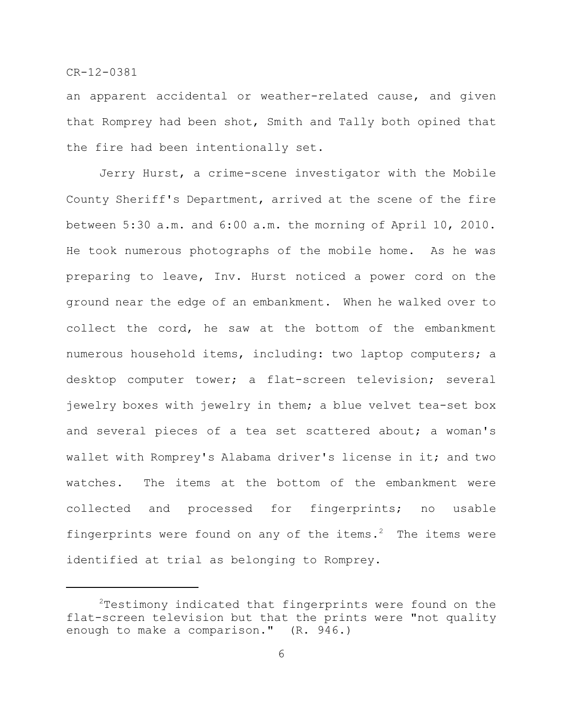an apparent accidental or weather-related cause, and given that Romprey had been shot, Smith and Tally both opined that the fire had been intentionally set.

Jerry Hurst, a crime-scene investigator with the Mobile County Sheriff's Department, arrived at the scene of the fire between 5:30 a.m. and 6:00 a.m. the morning of April 10, 2010. He took numerous photographs of the mobile home. As he was preparing to leave, Inv. Hurst noticed a power cord on the ground near the edge of an embankment. When he walked over to collect the cord, he saw at the bottom of the embankment numerous household items, including: two laptop computers; a desktop computer tower; a flat-screen television; several jewelry boxes with jewelry in them; a blue velvet tea-set box and several pieces of a tea set scattered about; a woman's wallet with Romprey's Alabama driver's license in it; and two watches. The items at the bottom of the embankment were collected and processed for fingerprints; no usable fingerprints were found on any of the items.<sup>2</sup> The items were identified at trial as belonging to Romprey.

 $2$ Testimony indicated that fingerprints were found on the flat-screen television but that the prints were "not quality enough to make a comparison." (R. 946.)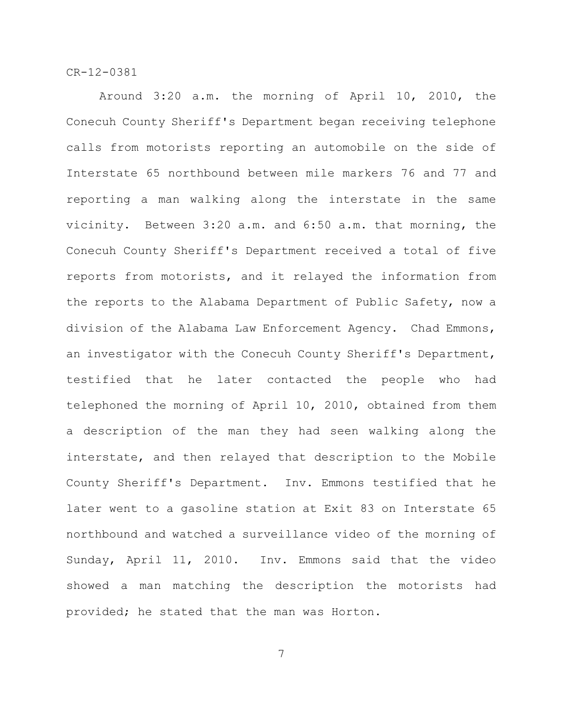Around 3:20 a.m. the morning of April 10, 2010, the Conecuh County Sheriff's Department began receiving telephone calls from motorists reporting an automobile on the side of Interstate 65 northbound between mile markers 76 and 77 and reporting a man walking along the interstate in the same vicinity. Between 3:20 a.m. and 6:50 a.m. that morning, the Conecuh County Sheriff's Department received a total of five reports from motorists, and it relayed the information from the reports to the Alabama Department of Public Safety, now a division of the Alabama Law Enforcement Agency. Chad Emmons, an investigator with the Conecuh County Sheriff's Department, testified that he later contacted the people who had telephoned the morning of April 10, 2010, obtained from them a description of the man they had seen walking along the interstate, and then relayed that description to the Mobile County Sheriff's Department. Inv. Emmons testified that he later went to a gasoline station at Exit 83 on Interstate 65 northbound and watched a surveillance video of the morning of Sunday, April 11, 2010. Inv. Emmons said that the video showed a man matching the description the motorists had provided; he stated that the man was Horton.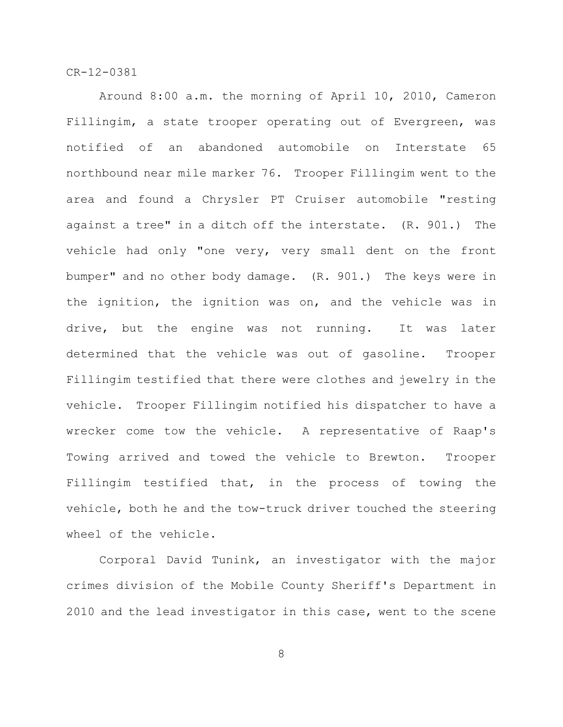Around 8:00 a.m. the morning of April 10, 2010, Cameron Fillingim, a state trooper operating out of Evergreen, was notified of an abandoned automobile on Interstate 65 northbound near mile marker 76. Trooper Fillingim went to the area and found a Chrysler PT Cruiser automobile "resting against a tree" in a ditch off the interstate. (R. 901.) The vehicle had only "one very, very small dent on the front bumper" and no other body damage. (R. 901.) The keys were in the ignition, the ignition was on, and the vehicle was in drive, but the engine was not running. It was later determined that the vehicle was out of gasoline. Trooper Fillingim testified that there were clothes and jewelry in the vehicle. Trooper Fillingim notified his dispatcher to have a wrecker come tow the vehicle. A representative of Raap's Towing arrived and towed the vehicle to Brewton. Trooper Fillingim testified that, in the process of towing the vehicle, both he and the tow-truck driver touched the steering wheel of the vehicle.

Corporal David Tunink, an investigator with the major crimes division of the Mobile County Sheriff's Department in 2010 and the lead investigator in this case, went to the scene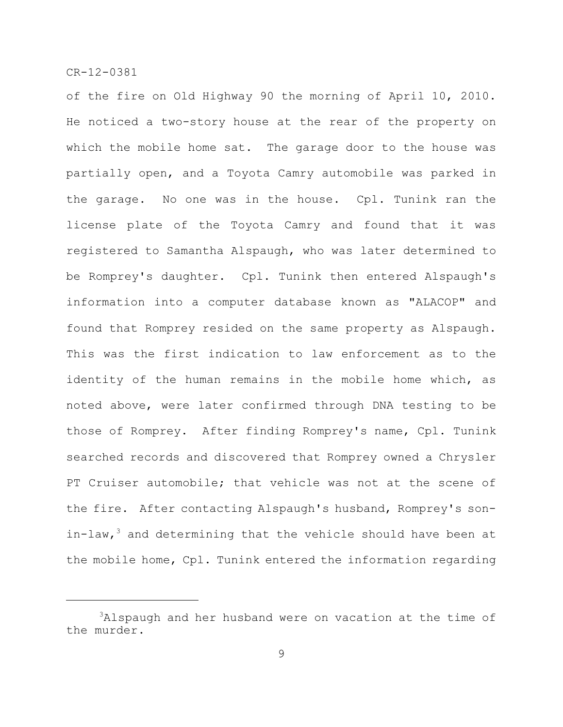of the fire on Old Highway 90 the morning of April 10, 2010. He noticed a two-story house at the rear of the property on which the mobile home sat. The garage door to the house was partially open, and a Toyota Camry automobile was parked in the garage. No one was in the house. Cpl. Tunink ran the license plate of the Toyota Camry and found that it was registered to Samantha Alspaugh, who was later determined to be Romprey's daughter. Cpl. Tunink then entered Alspaugh's information into a computer database known as "ALACOP" and found that Romprey resided on the same property as Alspaugh. This was the first indication to law enforcement as to the identity of the human remains in the mobile home which, as noted above, were later confirmed through DNA testing to be those of Romprey. After finding Romprey's name, Cpl. Tunink searched records and discovered that Romprey owned a Chrysler PT Cruiser automobile; that vehicle was not at the scene of the fire. After contacting Alspaugh's husband, Romprey's sonin-law,  $3$  and determining that the vehicle should have been at the mobile home, Cpl. Tunink entered the information regarding

 $3$ Alspaugh and her husband were on vacation at the time of the murder.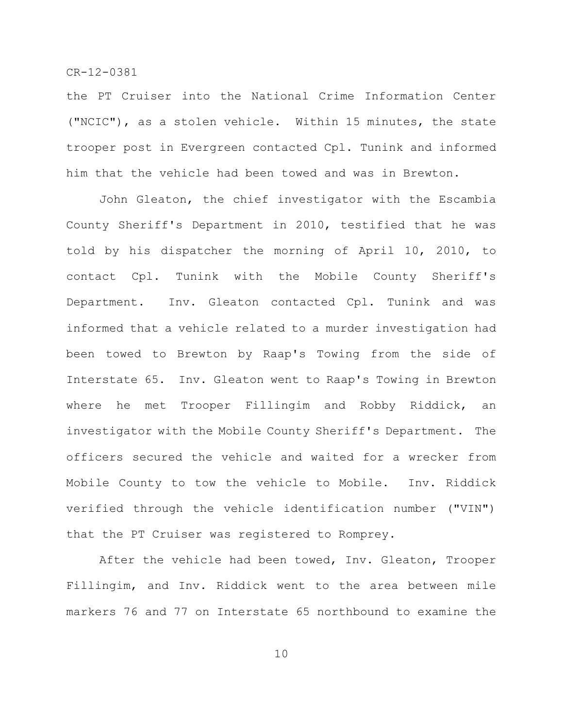the PT Cruiser into the National Crime Information Center ("NCIC"), as a stolen vehicle. Within 15 minutes, the state trooper post in Evergreen contacted Cpl. Tunink and informed him that the vehicle had been towed and was in Brewton.

John Gleaton, the chief investigator with the Escambia County Sheriff's Department in 2010, testified that he was told by his dispatcher the morning of April 10, 2010, to contact Cpl. Tunink with the Mobile County Sheriff's Department. Inv. Gleaton contacted Cpl. Tunink and was informed that a vehicle related to a murder investigation had been towed to Brewton by Raap's Towing from the side of Interstate 65. Inv. Gleaton went to Raap's Towing in Brewton where he met Trooper Fillingim and Robby Riddick, an investigator with the Mobile County Sheriff's Department. The officers secured the vehicle and waited for a wrecker from Mobile County to tow the vehicle to Mobile. Inv. Riddick verified through the vehicle identification number ("VIN") that the PT Cruiser was registered to Romprey.

After the vehicle had been towed, Inv. Gleaton, Trooper Fillingim, and Inv. Riddick went to the area between mile markers 76 and 77 on Interstate 65 northbound to examine the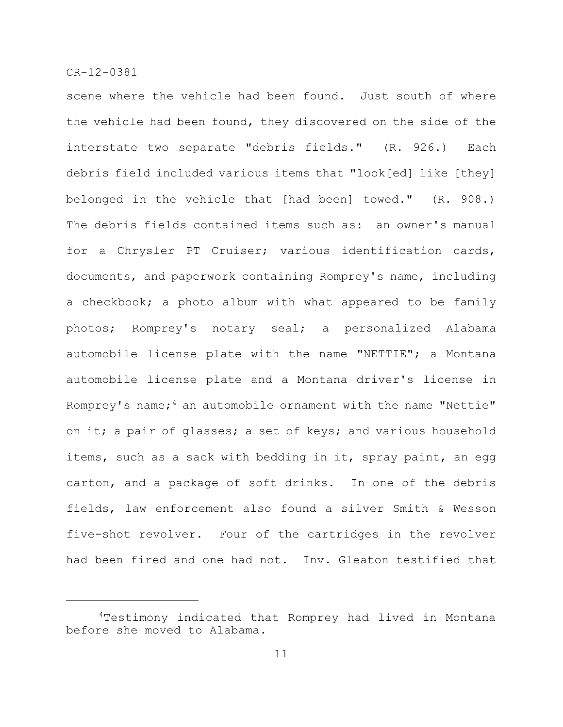scene where the vehicle had been found. Just south of where the vehicle had been found, they discovered on the side of the interstate two separate "debris fields." (R. 926.) Each debris field included various items that "look[ed] like [they] belonged in the vehicle that [had been] towed." (R. 908.) The debris fields contained items such as: an owner's manual for a Chrysler PT Cruiser; various identification cards, documents, and paperwork containing Romprey's name, including a checkbook; a photo album with what appeared to be family photos; Romprey's notary seal; a personalized Alabama automobile license plate with the name "NETTIE"; a Montana automobile license plate and a Montana driver's license in Romprey's name;  $4$  an automobile ornament with the name "Nettie" on it; a pair of glasses; a set of keys; and various household items, such as a sack with bedding in it, spray paint, an egg carton, and a package of soft drinks. In one of the debris fields, law enforcement also found a silver Smith & Wesson five-shot revolver. Four of the cartridges in the revolver had been fired and one had not. Inv. Gleaton testified that

<sup>&</sup>lt;sup>4</sup>Testimony indicated that Romprey had lived in Montana before she moved to Alabama.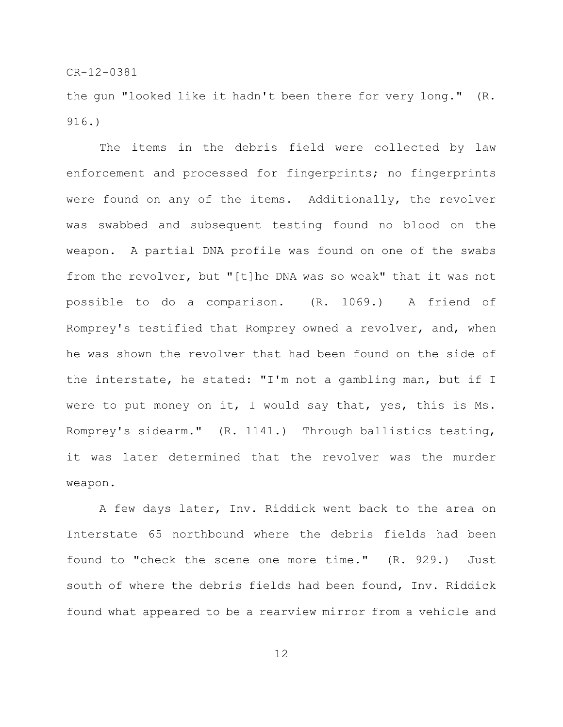the gun "looked like it hadn't been there for very long." (R. 916.)

The items in the debris field were collected by law enforcement and processed for fingerprints; no fingerprints were found on any of the items. Additionally, the revolver was swabbed and subsequent testing found no blood on the weapon. A partial DNA profile was found on one of the swabs from the revolver, but "[t]he DNA was so weak" that it was not possible to do a comparison. (R. 1069.) A friend of Romprey's testified that Romprey owned a revolver, and, when he was shown the revolver that had been found on the side of the interstate, he stated: "I'm not a gambling man, but if I were to put money on it, I would say that, yes, this is Ms. Romprey's sidearm." (R. 1141.) Through ballistics testing, it was later determined that the revolver was the murder weapon.

A few days later, Inv. Riddick went back to the area on Interstate 65 northbound where the debris fields had been found to "check the scene one more time." (R. 929.) Just south of where the debris fields had been found, Inv. Riddick found what appeared to be a rearview mirror from a vehicle and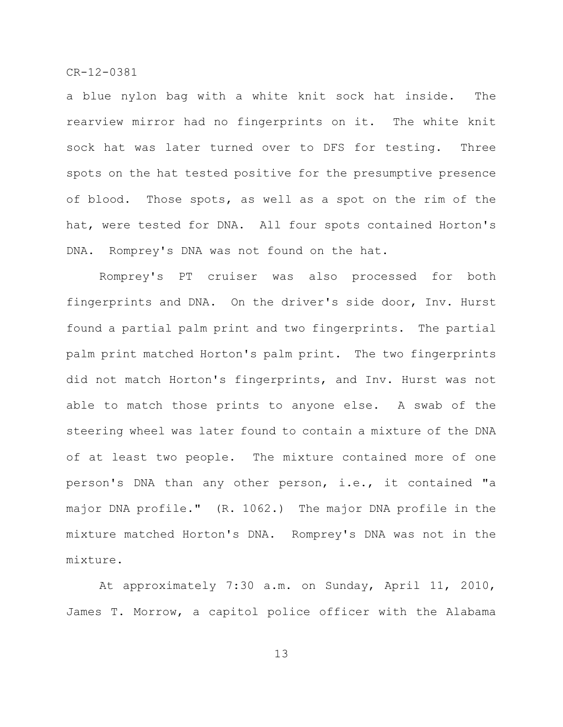a blue nylon bag with a white knit sock hat inside. The rearview mirror had no fingerprints on it. The white knit sock hat was later turned over to DFS for testing. Three spots on the hat tested positive for the presumptive presence of blood. Those spots, as well as a spot on the rim of the hat, were tested for DNA. All four spots contained Horton's DNA. Romprey's DNA was not found on the hat.

Romprey's PT cruiser was also processed for both fingerprints and DNA. On the driver's side door, Inv. Hurst found a partial palm print and two fingerprints. The partial palm print matched Horton's palm print. The two fingerprints did not match Horton's fingerprints, and Inv. Hurst was not able to match those prints to anyone else. A swab of the steering wheel was later found to contain a mixture of the DNA of at least two people. The mixture contained more of one person's DNA than any other person, i.e., it contained "a major DNA profile." (R. 1062.) The major DNA profile in the mixture matched Horton's DNA. Romprey's DNA was not in the mixture.

At approximately 7:30 a.m. on Sunday, April 11, 2010, James T. Morrow, a capitol police officer with the Alabama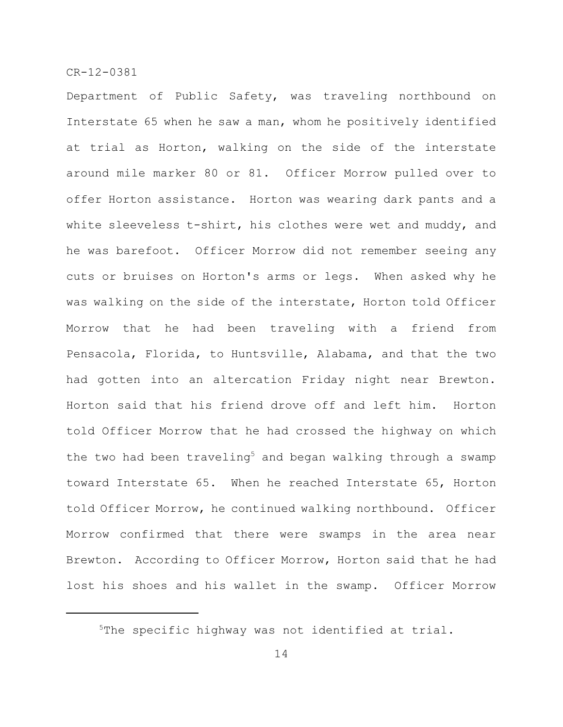Department of Public Safety, was traveling northbound on Interstate 65 when he saw a man, whom he positively identified at trial as Horton, walking on the side of the interstate around mile marker 80 or 81. Officer Morrow pulled over to offer Horton assistance. Horton was wearing dark pants and a white sleeveless t-shirt, his clothes were wet and muddy, and he was barefoot. Officer Morrow did not remember seeing any cuts or bruises on Horton's arms or legs. When asked why he was walking on the side of the interstate, Horton told Officer Morrow that he had been traveling with a friend from Pensacola, Florida, to Huntsville, Alabama, and that the two had gotten into an altercation Friday night near Brewton. Horton said that his friend drove off and left him. Horton told Officer Morrow that he had crossed the highway on which the two had been traveling<sup>5</sup> and began walking through a swamp toward Interstate 65. When he reached Interstate 65, Horton told Officer Morrow, he continued walking northbound. Officer Morrow confirmed that there were swamps in the area near Brewton. According to Officer Morrow, Horton said that he had lost his shoes and his wallet in the swamp. Officer Morrow

 $5$ The specific highway was not identified at trial.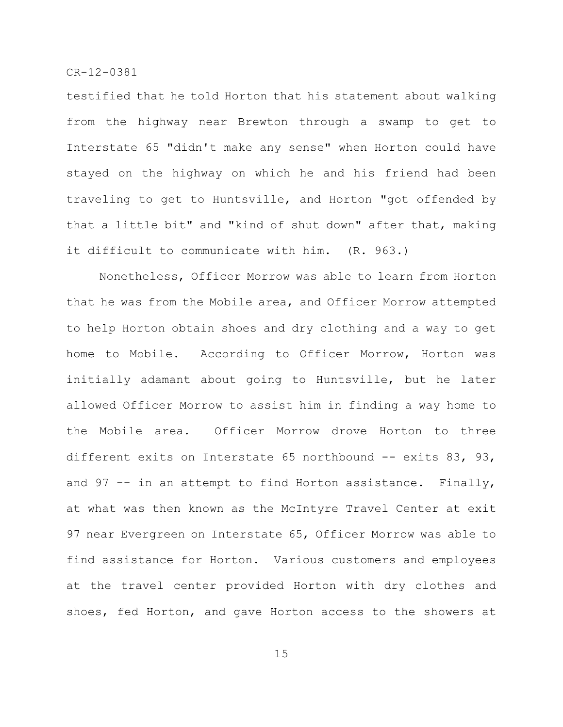testified that he told Horton that his statement about walking from the highway near Brewton through a swamp to get to Interstate 65 "didn't make any sense" when Horton could have stayed on the highway on which he and his friend had been traveling to get to Huntsville, and Horton "got offended by that a little bit" and "kind of shut down" after that, making it difficult to communicate with him. (R. 963.)

Nonetheless, Officer Morrow was able to learn from Horton that he was from the Mobile area, and Officer Morrow attempted to help Horton obtain shoes and dry clothing and a way to get home to Mobile. According to Officer Morrow, Horton was initially adamant about going to Huntsville, but he later allowed Officer Morrow to assist him in finding a way home to the Mobile area. Officer Morrow drove Horton to three different exits on Interstate 65 northbound -- exits 83, 93, and 97  $-$  in an attempt to find Horton assistance. Finally, at what was then known as the McIntyre Travel Center at exit 97 near Evergreen on Interstate 65, Officer Morrow was able to find assistance for Horton. Various customers and employees at the travel center provided Horton with dry clothes and shoes, fed Horton, and gave Horton access to the showers at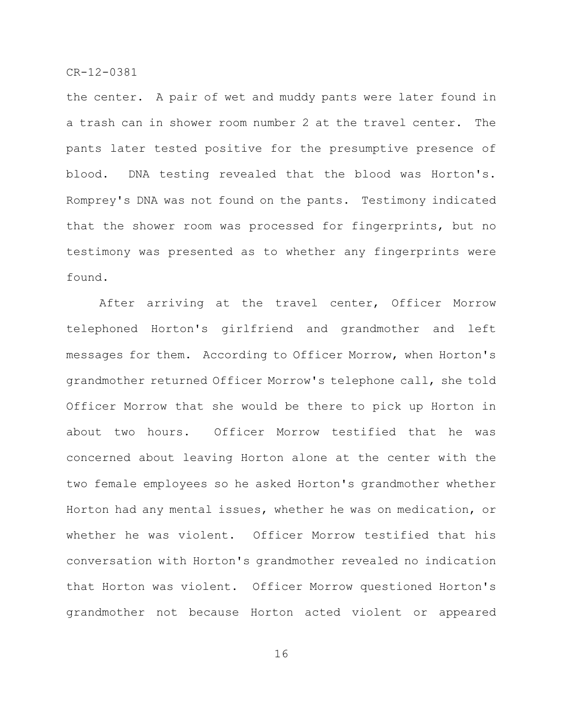the center. A pair of wet and muddy pants were later found in a trash can in shower room number 2 at the travel center. The pants later tested positive for the presumptive presence of blood. DNA testing revealed that the blood was Horton's. Romprey's DNA was not found on the pants. Testimony indicated that the shower room was processed for fingerprints, but no testimony was presented as to whether any fingerprints were found.

After arriving at the travel center, Officer Morrow telephoned Horton's girlfriend and grandmother and left messages for them. According to Officer Morrow, when Horton's grandmother returned Officer Morrow's telephone call, she told Officer Morrow that she would be there to pick up Horton in about two hours. Officer Morrow testified that he was concerned about leaving Horton alone at the center with the two female employees so he asked Horton's grandmother whether Horton had any mental issues, whether he was on medication, or whether he was violent. Officer Morrow testified that his conversation with Horton's grandmother revealed no indication that Horton was violent. Officer Morrow questioned Horton's grandmother not because Horton acted violent or appeared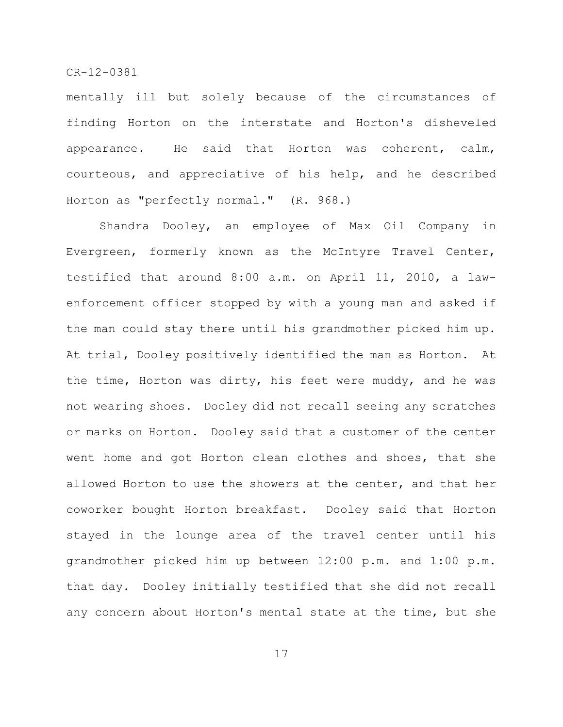mentally ill but solely because of the circumstances of finding Horton on the interstate and Horton's disheveled appearance. He said that Horton was coherent, calm, courteous, and appreciative of his help, and he described Horton as "perfectly normal." (R. 968.)

Shandra Dooley, an employee of Max Oil Company in Evergreen, formerly known as the McIntyre Travel Center, testified that around 8:00 a.m. on April 11, 2010, a lawenforcement officer stopped by with a young man and asked if the man could stay there until his grandmother picked him up. At trial, Dooley positively identified the man as Horton. At the time, Horton was dirty, his feet were muddy, and he was not wearing shoes. Dooley did not recall seeing any scratches or marks on Horton. Dooley said that a customer of the center went home and got Horton clean clothes and shoes, that she allowed Horton to use the showers at the center, and that her coworker bought Horton breakfast. Dooley said that Horton stayed in the lounge area of the travel center until his grandmother picked him up between 12:00 p.m. and 1:00 p.m. that day. Dooley initially testified that she did not recall any concern about Horton's mental state at the time, but she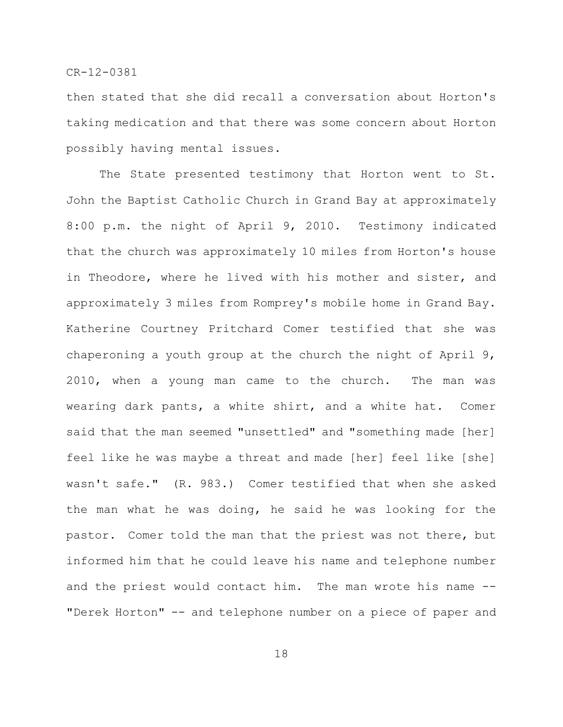then stated that she did recall a conversation about Horton's taking medication and that there was some concern about Horton possibly having mental issues.

The State presented testimony that Horton went to St. John the Baptist Catholic Church in Grand Bay at approximately 8:00 p.m. the night of April 9, 2010. Testimony indicated that the church was approximately 10 miles from Horton's house in Theodore, where he lived with his mother and sister, and approximately 3 miles from Romprey's mobile home in Grand Bay. Katherine Courtney Pritchard Comer testified that she was chaperoning a youth group at the church the night of April 9, 2010, when a young man came to the church. The man was wearing dark pants, a white shirt, and a white hat. Comer said that the man seemed "unsettled" and "something made [her] feel like he was maybe a threat and made [her] feel like [she] wasn't safe." (R. 983.) Comer testified that when she asked the man what he was doing, he said he was looking for the pastor. Comer told the man that the priest was not there, but informed him that he could leave his name and telephone number and the priest would contact him. The man wrote his name -- "Derek Horton" -- and telephone number on a piece of paper and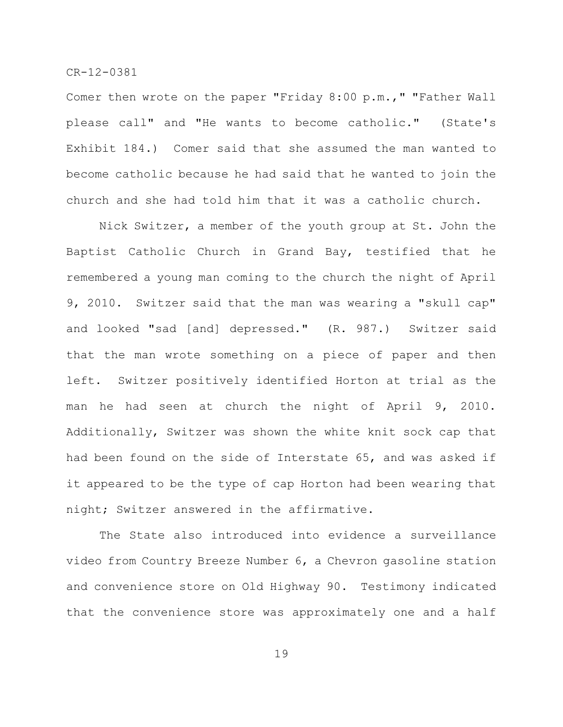Comer then wrote on the paper "Friday 8:00 p.m.," "Father Wall please call" and "He wants to become catholic." (State's Exhibit 184.) Comer said that she assumed the man wanted to become catholic because he had said that he wanted to join the church and she had told him that it was a catholic church.

Nick Switzer, a member of the youth group at St. John the Baptist Catholic Church in Grand Bay, testified that he remembered a young man coming to the church the night of April 9, 2010. Switzer said that the man was wearing a "skull cap" and looked "sad [and] depressed." (R. 987.) Switzer said that the man wrote something on a piece of paper and then left. Switzer positively identified Horton at trial as the man he had seen at church the night of April 9, 2010. Additionally, Switzer was shown the white knit sock cap that had been found on the side of Interstate 65, and was asked if it appeared to be the type of cap Horton had been wearing that night; Switzer answered in the affirmative.

The State also introduced into evidence a surveillance video from Country Breeze Number 6, a Chevron gasoline station and convenience store on Old Highway 90. Testimony indicated that the convenience store was approximately one and a half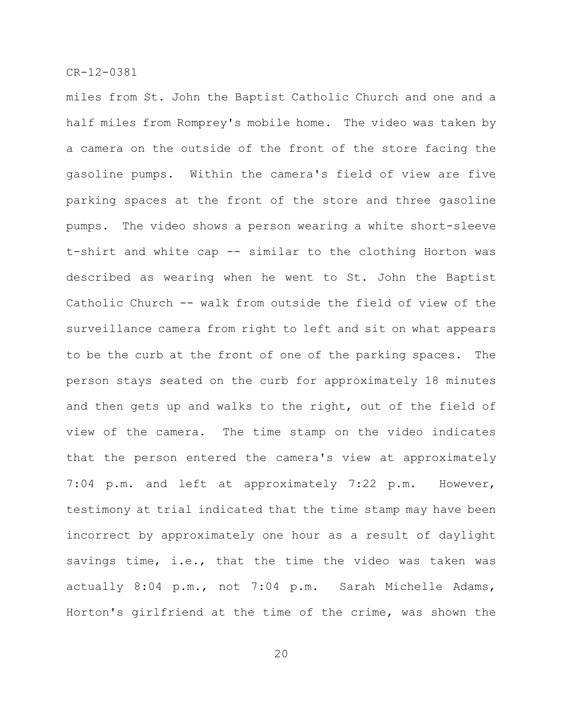miles from St. John the Baptist Catholic Church and one and a half miles from Romprey's mobile home. The video was taken by a camera on the outside of the front of the store facing the gasoline pumps. Within the camera's field of view are five parking spaces at the front of the store and three gasoline pumps. The video shows a person wearing a white short-sleeve t-shirt and white cap -- similar to the clothing Horton was described as wearing when he went to St. John the Baptist Catholic Church -- walk from outside the field of view of the surveillance camera from right to left and sit on what appears to be the curb at the front of one of the parking spaces. The person stays seated on the curb for approximately 18 minutes and then gets up and walks to the right, out of the field of view of the camera. The time stamp on the video indicates that the person entered the camera's view at approximately 7:04 p.m. and left at approximately 7:22 p.m. However, testimony at trial indicated that the time stamp may have been incorrect by approximately one hour as a result of daylight savings time, i.e., that the time the video was taken was actually 8:04 p.m., not 7:04 p.m. Sarah Michelle Adams, Horton's girlfriend at the time of the crime, was shown the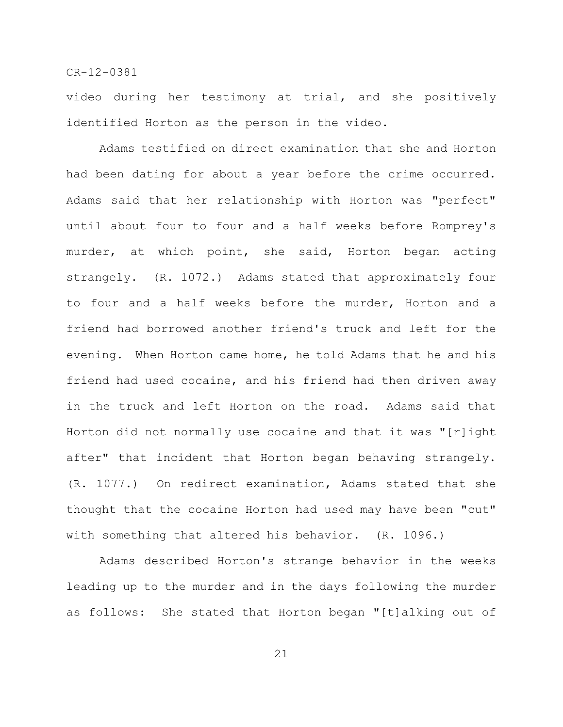video during her testimony at trial, and she positively identified Horton as the person in the video.

Adams testified on direct examination that she and Horton had been dating for about a year before the crime occurred. Adams said that her relationship with Horton was "perfect" until about four to four and a half weeks before Romprey's murder, at which point, she said, Horton began acting strangely. (R. 1072.) Adams stated that approximately four to four and a half weeks before the murder, Horton and a friend had borrowed another friend's truck and left for the evening. When Horton came home, he told Adams that he and his friend had used cocaine, and his friend had then driven away in the truck and left Horton on the road. Adams said that Horton did not normally use cocaine and that it was "[r]ight after" that incident that Horton began behaving strangely. (R. 1077.) On redirect examination, Adams stated that she thought that the cocaine Horton had used may have been "cut" with something that altered his behavior. (R. 1096.)

Adams described Horton's strange behavior in the weeks leading up to the murder and in the days following the murder as follows: She stated that Horton began "[t]alking out of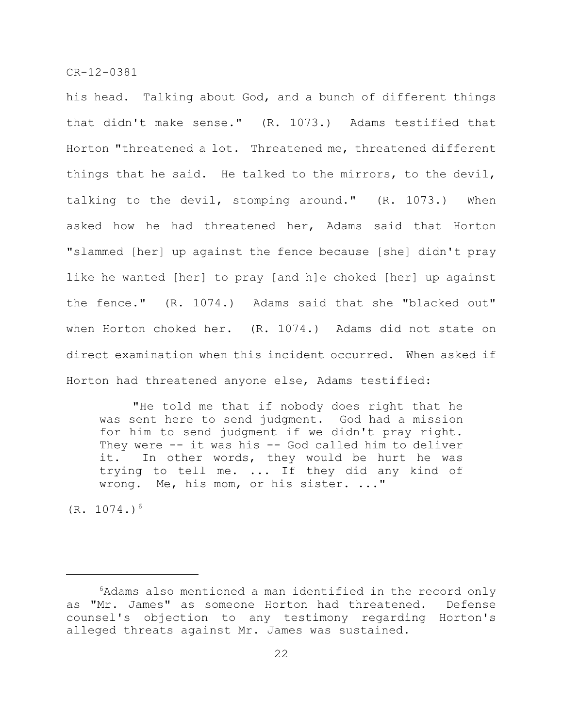his head. Talking about God, and a bunch of different things that didn't make sense." (R. 1073.) Adams testified that Horton "threatened a lot. Threatened me, threatened different things that he said. He talked to the mirrors, to the devil, talking to the devil, stomping around." (R. 1073.) When asked how he had threatened her, Adams said that Horton "slammed [her] up against the fence because [she] didn't pray like he wanted [her] to pray [and h]e choked [her] up against the fence." (R. 1074.) Adams said that she "blacked out" when Horton choked her. (R. 1074.) Adams did not state on direct examination when this incident occurred. When asked if Horton had threatened anyone else, Adams testified:

"He told me that if nobody does right that he was sent here to send judgment. God had a mission for him to send judgment if we didn't pray right. They were -- it was his -- God called him to deliver it. In other words, they would be hurt he was trying to tell me. ... If they did any kind of wrong. Me, his mom, or his sister. ..."

 $(R. 1074.)$ <sup>6</sup>

 $6$ Adams also mentioned a man identified in the record only as "Mr. James" as someone Horton had threatened. Defense counsel's objection to any testimony regarding Horton's alleged threats against Mr. James was sustained.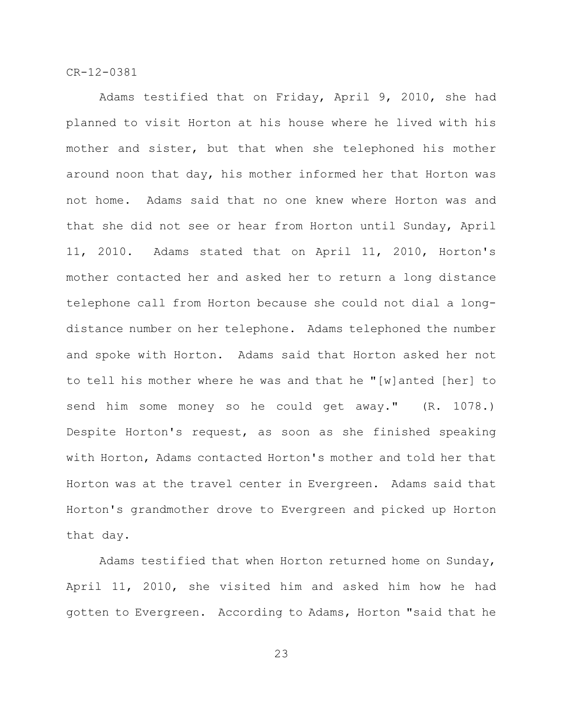Adams testified that on Friday, April 9, 2010, she had planned to visit Horton at his house where he lived with his mother and sister, but that when she telephoned his mother around noon that day, his mother informed her that Horton was not home. Adams said that no one knew where Horton was and that she did not see or hear from Horton until Sunday, April 11, 2010. Adams stated that on April 11, 2010, Horton's mother contacted her and asked her to return a long distance telephone call from Horton because she could not dial a longdistance number on her telephone. Adams telephoned the number and spoke with Horton. Adams said that Horton asked her not to tell his mother where he was and that he "[w]anted [her] to send him some money so he could get away." (R. 1078.) Despite Horton's request, as soon as she finished speaking with Horton, Adams contacted Horton's mother and told her that Horton was at the travel center in Evergreen. Adams said that Horton's grandmother drove to Evergreen and picked up Horton that day.

Adams testified that when Horton returned home on Sunday, April 11, 2010, she visited him and asked him how he had gotten to Evergreen. According to Adams, Horton "said that he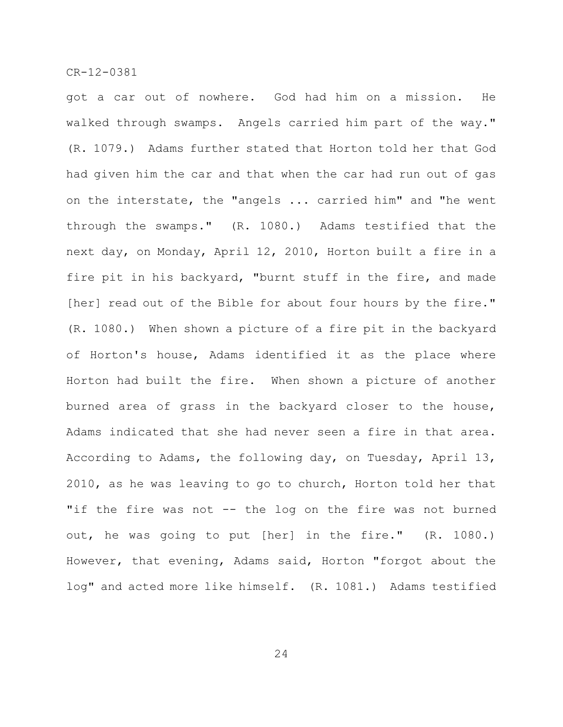got a car out of nowhere. God had him on a mission. He walked through swamps. Angels carried him part of the way." (R. 1079.) Adams further stated that Horton told her that God had given him the car and that when the car had run out of gas on the interstate, the "angels ... carried him" and "he went through the swamps." (R. 1080.) Adams testified that the next day, on Monday, April 12, 2010, Horton built a fire in a fire pit in his backyard, "burnt stuff in the fire, and made [her] read out of the Bible for about four hours by the fire." (R. 1080.) When shown a picture of a fire pit in the backyard of Horton's house, Adams identified it as the place where Horton had built the fire. When shown a picture of another burned area of grass in the backyard closer to the house, Adams indicated that she had never seen a fire in that area. According to Adams, the following day, on Tuesday, April 13, 2010, as he was leaving to go to church, Horton told her that "if the fire was not -- the log on the fire was not burned out, he was going to put [her] in the fire." (R. 1080.) However, that evening, Adams said, Horton "forgot about the log" and acted more like himself. (R. 1081.) Adams testified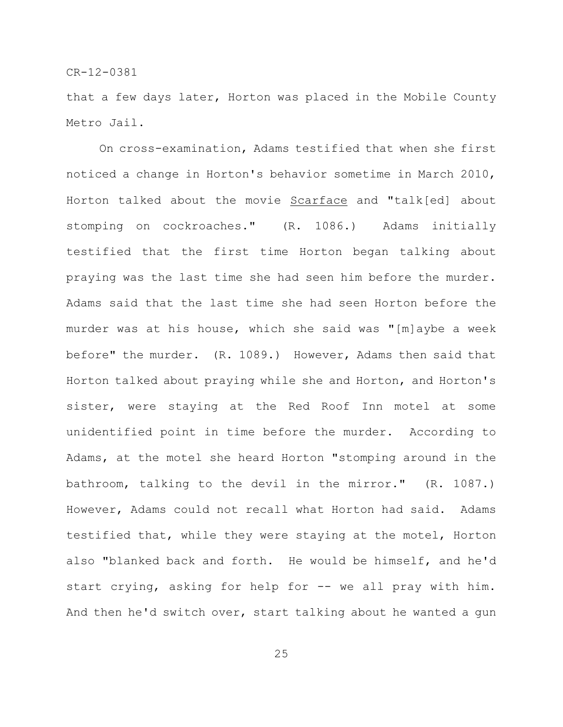that a few days later, Horton was placed in the Mobile County Metro Jail.

On cross-examination, Adams testified that when she first noticed a change in Horton's behavior sometime in March 2010, Horton talked about the movie Scarface and "talk[ed] about stomping on cockroaches." (R. 1086.) Adams initially testified that the first time Horton began talking about praying was the last time she had seen him before the murder. Adams said that the last time she had seen Horton before the murder was at his house, which she said was "[m]aybe a week before" the murder. (R. 1089.) However, Adams then said that Horton talked about praying while she and Horton, and Horton's sister, were staying at the Red Roof Inn motel at some unidentified point in time before the murder. According to Adams, at the motel she heard Horton "stomping around in the bathroom, talking to the devil in the mirror." (R. 1087.) However, Adams could not recall what Horton had said. Adams testified that, while they were staying at the motel, Horton also "blanked back and forth. He would be himself, and he'd start crying, asking for help for -- we all pray with him. And then he'd switch over, start talking about he wanted a gun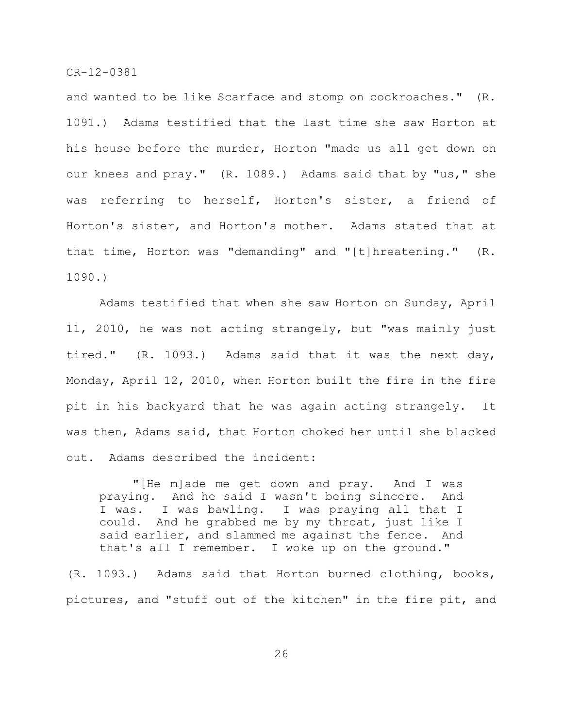and wanted to be like Scarface and stomp on cockroaches." (R. 1091.) Adams testified that the last time she saw Horton at his house before the murder, Horton "made us all get down on our knees and pray." (R. 1089.) Adams said that by "us," she was referring to herself, Horton's sister, a friend of Horton's sister, and Horton's mother. Adams stated that at that time, Horton was "demanding" and "[t]hreatening." (R. 1090.)

Adams testified that when she saw Horton on Sunday, April 11, 2010, he was not acting strangely, but "was mainly just tired." (R. 1093.) Adams said that it was the next day, Monday, April 12, 2010, when Horton built the fire in the fire pit in his backyard that he was again acting strangely. It was then, Adams said, that Horton choked her until she blacked out. Adams described the incident:

"[He m]ade me get down and pray. And I was praying. And he said I wasn't being sincere. And I was. I was bawling. I was praying all that I could. And he grabbed me by my throat, just like I said earlier, and slammed me against the fence. And that's all I remember. I woke up on the ground."

(R. 1093.) Adams said that Horton burned clothing, books, pictures, and "stuff out of the kitchen" in the fire pit, and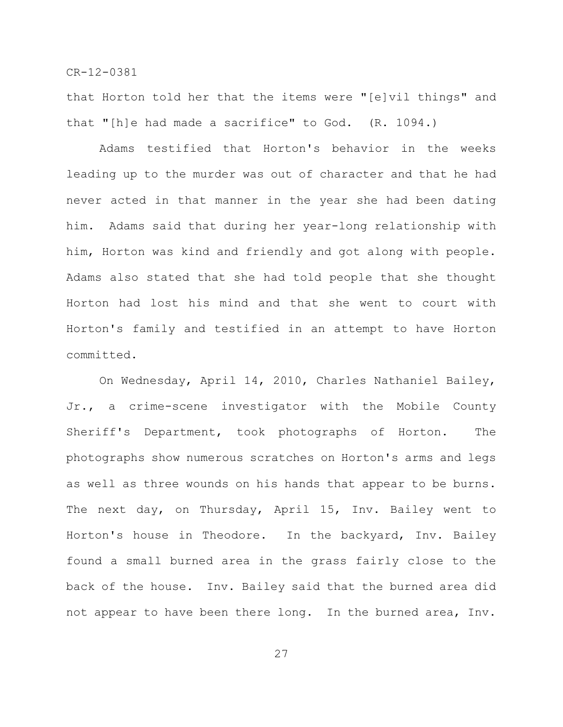that Horton told her that the items were "[e]vil things" and that "[h]e had made a sacrifice" to God. (R. 1094.)

Adams testified that Horton's behavior in the weeks leading up to the murder was out of character and that he had never acted in that manner in the year she had been dating him. Adams said that during her year-long relationship with him, Horton was kind and friendly and got along with people. Adams also stated that she had told people that she thought Horton had lost his mind and that she went to court with Horton's family and testified in an attempt to have Horton committed.

On Wednesday, April 14, 2010, Charles Nathaniel Bailey, Jr., a crime-scene investigator with the Mobile County Sheriff's Department, took photographs of Horton. The photographs show numerous scratches on Horton's arms and legs as well as three wounds on his hands that appear to be burns. The next day, on Thursday, April 15, Inv. Bailey went to Horton's house in Theodore. In the backyard, Inv. Bailey found a small burned area in the grass fairly close to the back of the house. Inv. Bailey said that the burned area did not appear to have been there long. In the burned area, Inv.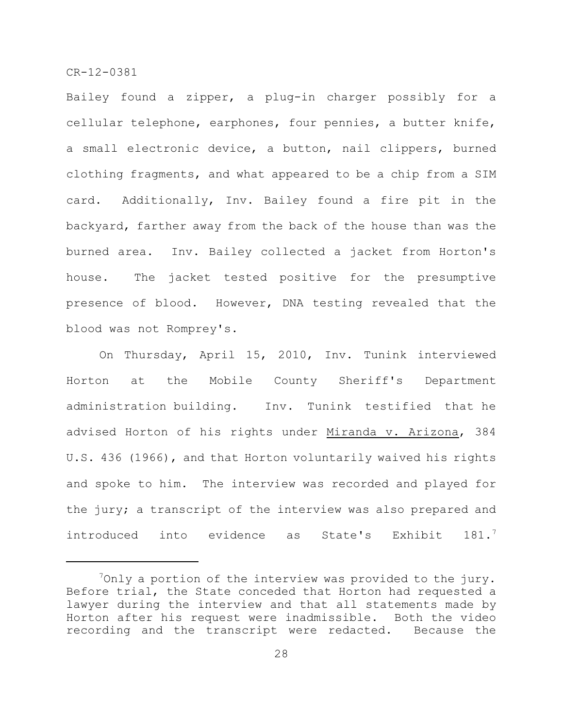Bailey found a zipper, a plug-in charger possibly for a cellular telephone, earphones, four pennies, a butter knife, a small electronic device, a button, nail clippers, burned clothing fragments, and what appeared to be a chip from a SIM card. Additionally, Inv. Bailey found a fire pit in the backyard, farther away from the back of the house than was the burned area. Inv. Bailey collected a jacket from Horton's house. The jacket tested positive for the presumptive presence of blood. However, DNA testing revealed that the blood was not Romprey's.

On Thursday, April 15, 2010, Inv. Tunink interviewed Horton at the Mobile County Sheriff's Department administration building. Inv. Tunink testified that he advised Horton of his rights under Miranda v. Arizona, 384 U.S. 436 (1966), and that Horton voluntarily waived his rights and spoke to him. The interview was recorded and played for the jury; a transcript of the interview was also prepared and introduced into evidence as State's Exhibit 181.<sup>7</sup>

 $\sqrt[7]{2}$ Only a portion of the interview was provided to the jury. Before trial, the State conceded that Horton had requested a lawyer during the interview and that all statements made by Horton after his request were inadmissible. Both the video recording and the transcript were redacted. Because the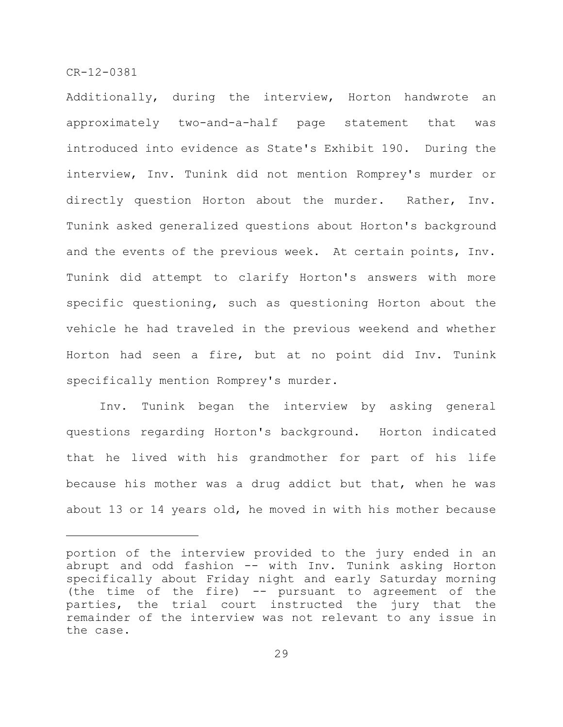Additionally, during the interview, Horton handwrote an approximately two-and-a-half page statement that was introduced into evidence as State's Exhibit 190. During the interview, Inv. Tunink did not mention Romprey's murder or directly question Horton about the murder. Rather, Inv. Tunink asked generalized questions about Horton's background and the events of the previous week. At certain points, Inv. Tunink did attempt to clarify Horton's answers with more specific questioning, such as questioning Horton about the vehicle he had traveled in the previous weekend and whether Horton had seen a fire, but at no point did Inv. Tunink specifically mention Romprey's murder.

Inv. Tunink began the interview by asking general questions regarding Horton's background. Horton indicated that he lived with his grandmother for part of his life because his mother was a drug addict but that, when he was about 13 or 14 years old, he moved in with his mother because

portion of the interview provided to the jury ended in an abrupt and odd fashion -- with Inv. Tunink asking Horton specifically about Friday night and early Saturday morning (the time of the fire) -- pursuant to agreement of the parties, the trial court instructed the jury that the remainder of the interview was not relevant to any issue in the case.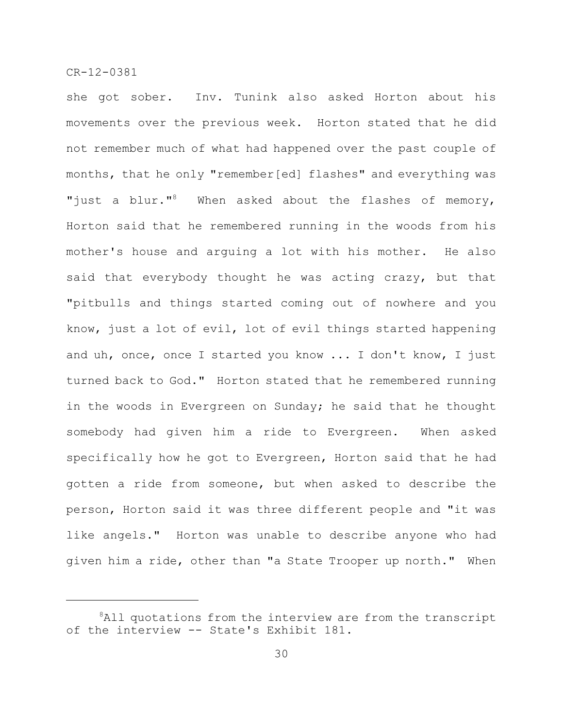she got sober. Inv. Tunink also asked Horton about his movements over the previous week. Horton stated that he did not remember much of what had happened over the past couple of months, that he only "remember[ed] flashes" and everything was "just a blur."<sup>8</sup> When asked about the flashes of memory, Horton said that he remembered running in the woods from his mother's house and arguing a lot with his mother. He also said that everybody thought he was acting crazy, but that "pitbulls and things started coming out of nowhere and you know, just a lot of evil, lot of evil things started happening and uh, once, once I started you know ... I don't know, I just turned back to God." Horton stated that he remembered running in the woods in Evergreen on Sunday; he said that he thought somebody had given him a ride to Evergreen. When asked specifically how he got to Evergreen, Horton said that he had gotten a ride from someone, but when asked to describe the person, Horton said it was three different people and "it was like angels." Horton was unable to describe anyone who had given him a ride, other than "a State Trooper up north." When

 $8$ All quotations from the interview are from the transcript of the interview -- State's Exhibit 181.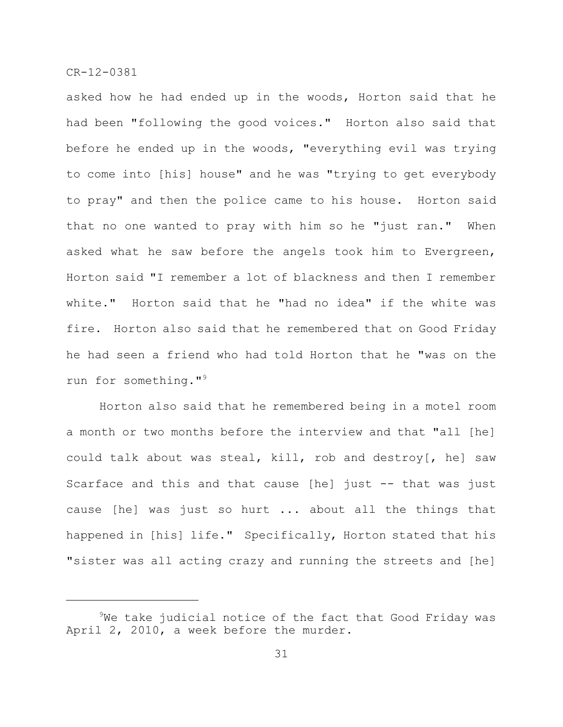asked how he had ended up in the woods, Horton said that he had been "following the good voices." Horton also said that before he ended up in the woods, "everything evil was trying to come into [his] house" and he was "trying to get everybody to pray" and then the police came to his house. Horton said that no one wanted to pray with him so he "just ran." When asked what he saw before the angels took him to Evergreen, Horton said "I remember a lot of blackness and then I remember white." Horton said that he "had no idea" if the white was fire. Horton also said that he remembered that on Good Friday he had seen a friend who had told Horton that he "was on the run for something."<sup>9</sup>

Horton also said that he remembered being in a motel room a month or two months before the interview and that "all [he] could talk about was steal, kill, rob and destroy[, he] saw Scarface and this and that cause [he] just -- that was just cause [he] was just so hurt ... about all the things that happened in [his] life." Specifically, Horton stated that his "sister was all acting crazy and running the streets and [he]

 $9$ We take judicial notice of the fact that Good Friday was April 2, 2010, a week before the murder.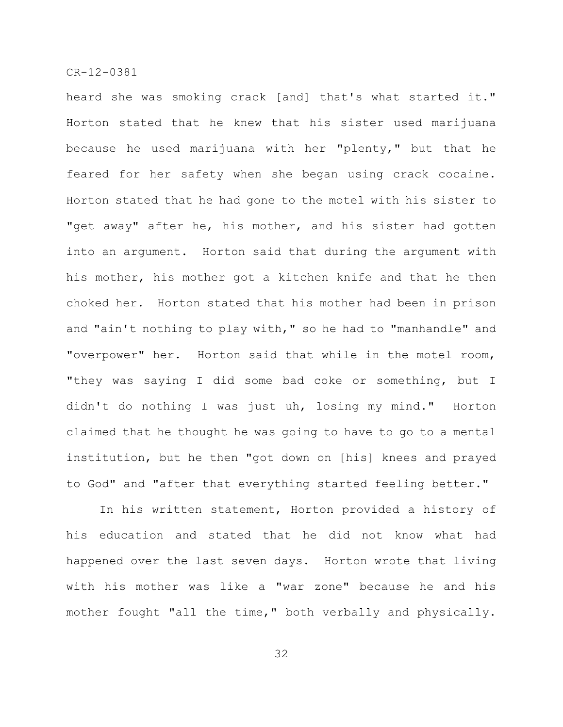heard she was smoking crack [and] that's what started it." Horton stated that he knew that his sister used marijuana because he used marijuana with her "plenty," but that he feared for her safety when she began using crack cocaine. Horton stated that he had gone to the motel with his sister to "get away" after he, his mother, and his sister had gotten into an argument. Horton said that during the argument with his mother, his mother got a kitchen knife and that he then choked her. Horton stated that his mother had been in prison and "ain't nothing to play with," so he had to "manhandle" and "overpower" her. Horton said that while in the motel room, "they was saying I did some bad coke or something, but I didn't do nothing I was just uh, losing my mind." Horton claimed that he thought he was going to have to go to a mental institution, but he then "got down on [his] knees and prayed to God" and "after that everything started feeling better."

In his written statement, Horton provided a history of his education and stated that he did not know what had happened over the last seven days. Horton wrote that living with his mother was like a "war zone" because he and his mother fought "all the time," both verbally and physically.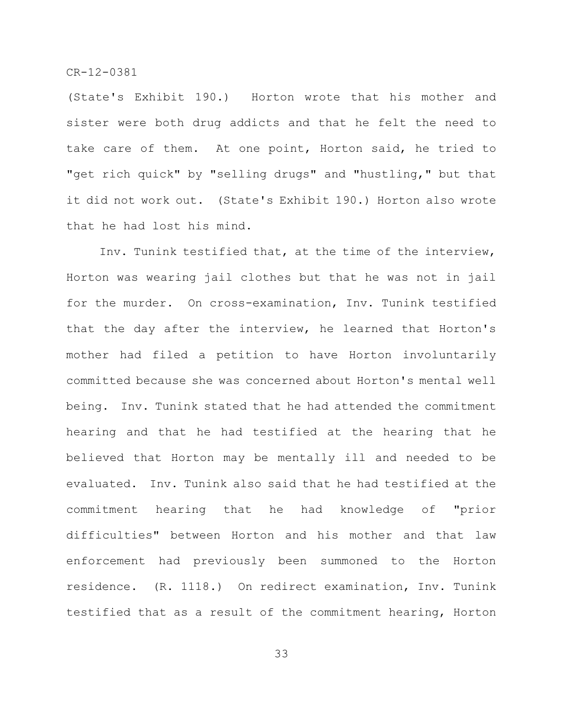(State's Exhibit 190.) Horton wrote that his mother and sister were both drug addicts and that he felt the need to take care of them. At one point, Horton said, he tried to "get rich quick" by "selling drugs" and "hustling," but that it did not work out. (State's Exhibit 190.) Horton also wrote that he had lost his mind.

Inv. Tunink testified that, at the time of the interview, Horton was wearing jail clothes but that he was not in jail for the murder. On cross-examination, Inv. Tunink testified that the day after the interview, he learned that Horton's mother had filed a petition to have Horton involuntarily committed because she was concerned about Horton's mental well being. Inv. Tunink stated that he had attended the commitment hearing and that he had testified at the hearing that he believed that Horton may be mentally ill and needed to be evaluated. Inv. Tunink also said that he had testified at the commitment hearing that he had knowledge of "prior difficulties" between Horton and his mother and that law enforcement had previously been summoned to the Horton residence. (R. 1118.) On redirect examination, Inv. Tunink testified that as a result of the commitment hearing, Horton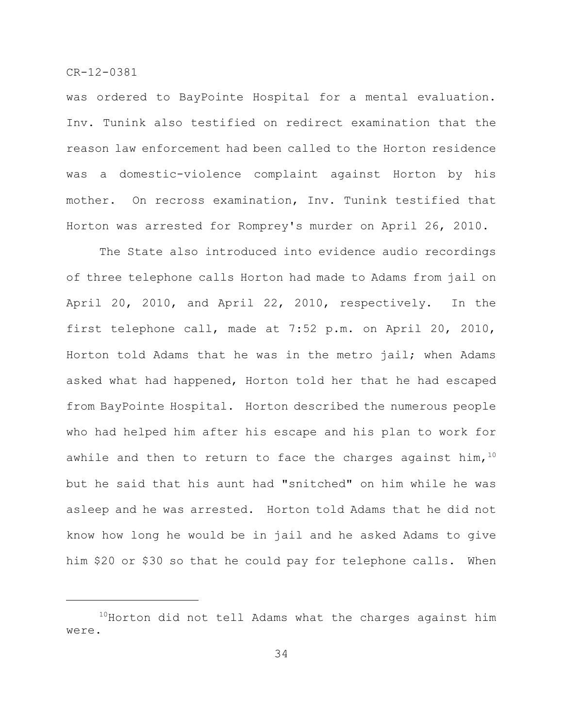was ordered to BayPointe Hospital for a mental evaluation. Inv. Tunink also testified on redirect examination that the reason law enforcement had been called to the Horton residence was a domestic-violence complaint against Horton by his mother. On recross examination, Inv. Tunink testified that Horton was arrested for Romprey's murder on April 26, 2010.

The State also introduced into evidence audio recordings of three telephone calls Horton had made to Adams from jail on April 20, 2010, and April 22, 2010, respectively. In the first telephone call, made at 7:52 p.m. on April 20, 2010, Horton told Adams that he was in the metro jail; when Adams asked what had happened, Horton told her that he had escaped from BayPointe Hospital. Horton described the numerous people who had helped him after his escape and his plan to work for awhile and then to return to face the charges against him,  $10$ but he said that his aunt had "snitched" on him while he was asleep and he was arrested. Horton told Adams that he did not know how long he would be in jail and he asked Adams to give him \$20 or \$30 so that he could pay for telephone calls. When

 $10$ Horton did not tell Adams what the charges against him were.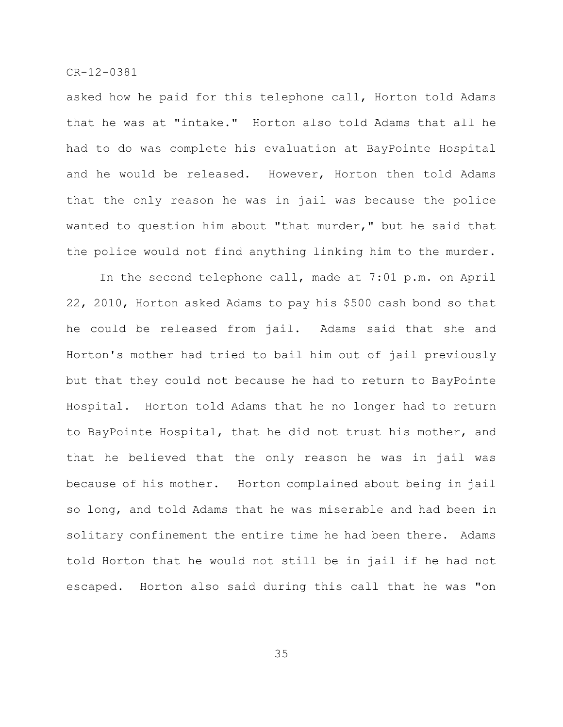asked how he paid for this telephone call, Horton told Adams that he was at "intake." Horton also told Adams that all he had to do was complete his evaluation at BayPointe Hospital and he would be released. However, Horton then told Adams that the only reason he was in jail was because the police wanted to question him about "that murder," but he said that the police would not find anything linking him to the murder.

In the second telephone call, made at 7:01 p.m. on April 22, 2010, Horton asked Adams to pay his \$500 cash bond so that he could be released from jail. Adams said that she and Horton's mother had tried to bail him out of jail previously but that they could not because he had to return to BayPointe Hospital. Horton told Adams that he no longer had to return to BayPointe Hospital, that he did not trust his mother, and that he believed that the only reason he was in jail was because of his mother. Horton complained about being in jail so long, and told Adams that he was miserable and had been in solitary confinement the entire time he had been there. Adams told Horton that he would not still be in jail if he had not escaped. Horton also said during this call that he was "on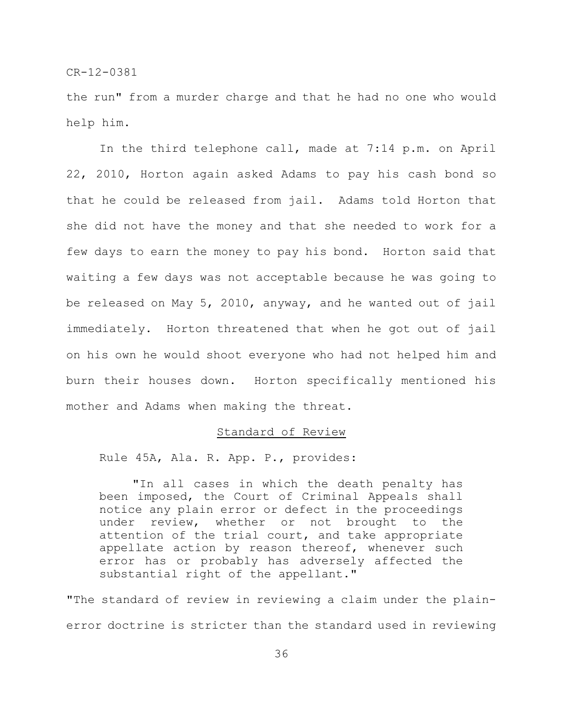the run" from a murder charge and that he had no one who would help him.

In the third telephone call, made at 7:14 p.m. on April 22, 2010, Horton again asked Adams to pay his cash bond so that he could be released from jail. Adams told Horton that she did not have the money and that she needed to work for a few days to earn the money to pay his bond. Horton said that waiting a few days was not acceptable because he was going to be released on May 5, 2010, anyway, and he wanted out of jail immediately. Horton threatened that when he got out of jail on his own he would shoot everyone who had not helped him and burn their houses down. Horton specifically mentioned his mother and Adams when making the threat.

# Standard of Review

Rule 45A, Ala. R. App. P., provides:

"In all cases in which the death penalty has been imposed, the Court of Criminal Appeals shall notice any plain error or defect in the proceedings under review, whether or not brought to the attention of the trial court, and take appropriate appellate action by reason thereof, whenever such error has or probably has adversely affected the substantial right of the appellant."

"The standard of review in reviewing a claim under the plainerror doctrine is stricter than the standard used in reviewing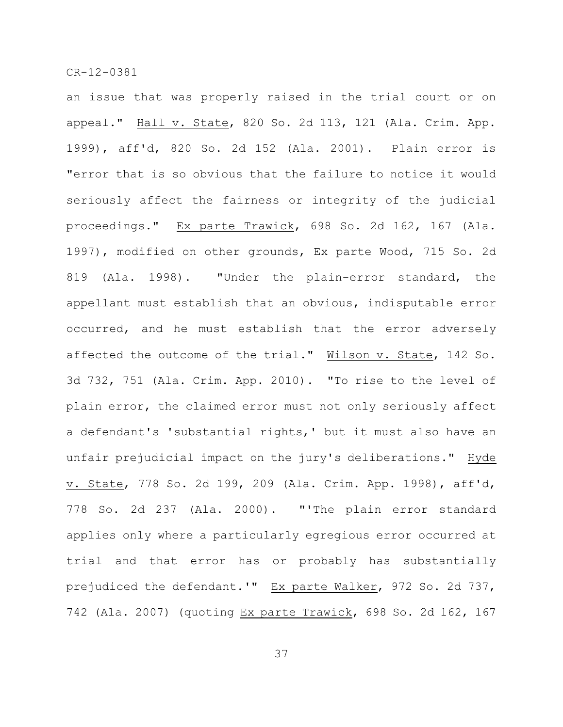an issue that was properly raised in the trial court or on appeal." Hall v. State, 820 So. 2d 113, 121 (Ala. Crim. App. 1999), aff'd, 820 So. 2d 152 (Ala. 2001). Plain error is "error that is so obvious that the failure to notice it would seriously affect the fairness or integrity of the judicial proceedings." Ex parte Trawick, 698 So. 2d 162, 167 (Ala. 1997), modified on other grounds, Ex parte Wood, 715 So. 2d 819 (Ala. 1998). "Under the plain-error standard, the appellant must establish that an obvious, indisputable error occurred, and he must establish that the error adversely affected the outcome of the trial." Wilson v. State, 142 So. 3d 732, 751 (Ala. Crim. App. 2010). "To rise to the level of plain error, the claimed error must not only seriously affect a defendant's 'substantial rights,' but it must also have an unfair prejudicial impact on the jury's deliberations." Hyde v. State, 778 So. 2d 199, 209 (Ala. Crim. App. 1998), aff'd, 778 So. 2d 237 (Ala. 2000). "'The plain error standard applies only where a particularly egregious error occurred at trial and that error has or probably has substantially prejudiced the defendant.'" Ex parte Walker, 972 So. 2d 737, 742 (Ala. 2007) (quoting Ex parte Trawick, 698 So. 2d 162, 167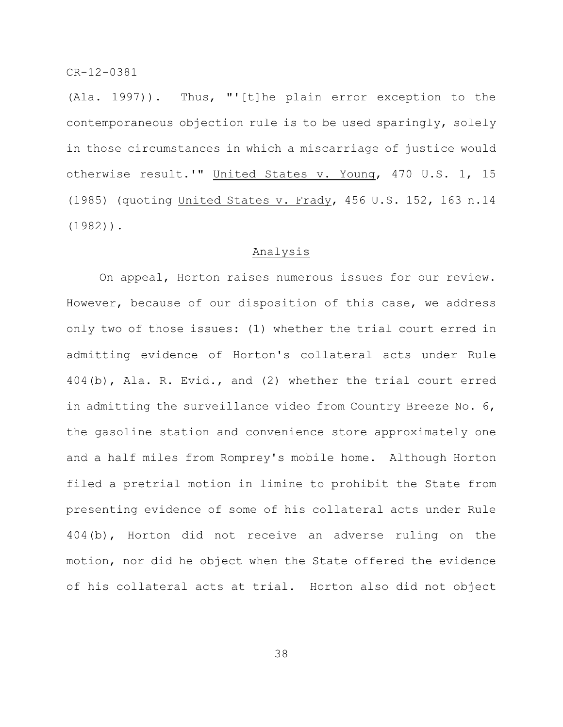(Ala. 1997)). Thus, "'[t]he plain error exception to the contemporaneous objection rule is to be used sparingly, solely in those circumstances in which a miscarriage of justice would otherwise result.'" United States v. Young, 470 U.S. 1, 15 (1985) (quoting United States v. Frady, 456 U.S. 152, 163 n.14 (1982)).

# Analysis

On appeal, Horton raises numerous issues for our review. However, because of our disposition of this case, we address only two of those issues: (1) whether the trial court erred in admitting evidence of Horton's collateral acts under Rule 404(b), Ala. R. Evid., and (2) whether the trial court erred in admitting the surveillance video from Country Breeze No. 6, the gasoline station and convenience store approximately one and a half miles from Romprey's mobile home. Although Horton filed a pretrial motion in limine to prohibit the State from presenting evidence of some of his collateral acts under Rule 404(b), Horton did not receive an adverse ruling on the motion, nor did he object when the State offered the evidence of his collateral acts at trial. Horton also did not object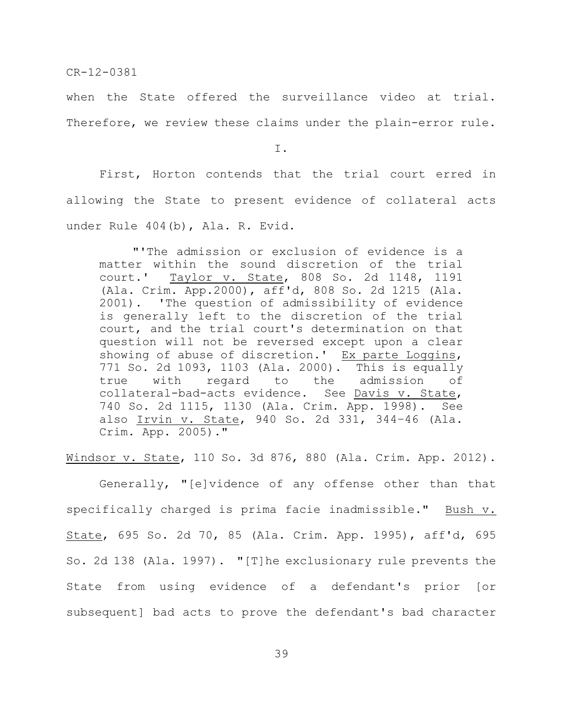when the State offered the surveillance video at trial. Therefore, we review these claims under the plain-error rule.

I.

First, Horton contends that the trial court erred in allowing the State to present evidence of collateral acts under Rule 404(b), Ala. R. Evid.

"'The admission or exclusion of evidence is a matter within the sound discretion of the trial court.' Taylor v. State, 808 So. 2d 1148, 1191 (Ala. Crim. App.2000), aff'd, 808 So. 2d 1215 (Ala. 2001). 'The question of admissibility of evidence is generally left to the discretion of the trial court, and the trial court's determination on that question will not be reversed except upon a clear showing of abuse of discretion.' Ex parte Loggins, 771 So. 2d 1093, 1103 (Ala. 2000). This is equally true with regard to the admission of collateral-bad-acts evidence. See Davis v. State, 740 So. 2d 1115, 1130 (Ala. Crim. App. 1998). See also Irvin v. State, 940 So. 2d 331, 344–46 (Ala. Crim. App. 2005)."

Windsor v. State, 110 So. 3d 876, 880 (Ala. Crim. App. 2012).

Generally, "[e]vidence of any offense other than that specifically charged is prima facie inadmissible." Bush v. State, 695 So. 2d 70, 85 (Ala. Crim. App. 1995), aff'd, 695 So. 2d 138 (Ala. 1997). "[T]he exclusionary rule prevents the State from using evidence of a defendant's prior [or subsequent] bad acts to prove the defendant's bad character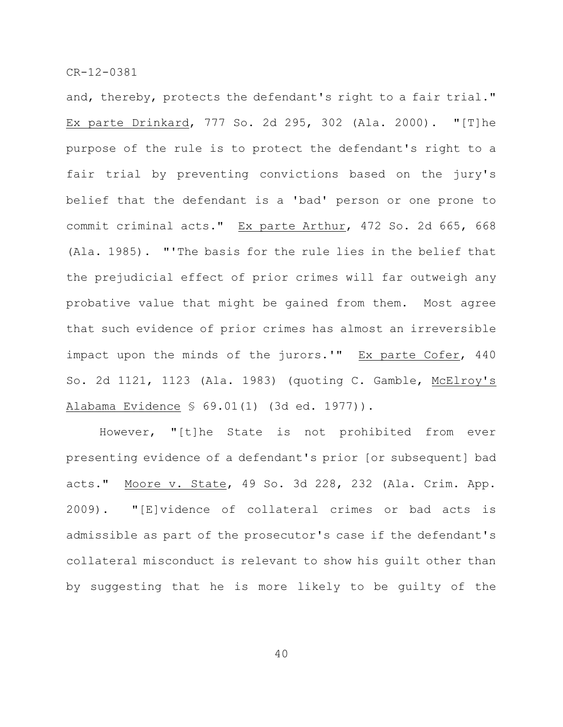and, thereby, protects the defendant's right to a fair trial." Ex parte Drinkard, 777 So. 2d 295, 302 (Ala. 2000). "[T]he purpose of the rule is to protect the defendant's right to a fair trial by preventing convictions based on the jury's belief that the defendant is a 'bad' person or one prone to commit criminal acts." Ex parte Arthur, 472 So. 2d 665, 668 (Ala. 1985). "'The basis for the rule lies in the belief that the prejudicial effect of prior crimes will far outweigh any probative value that might be gained from them. Most agree that such evidence of prior crimes has almost an irreversible impact upon the minds of the jurors.'" Ex parte Cofer, 440 So. 2d 1121, 1123 (Ala. 1983) (quoting C. Gamble, McElroy's Alabama Evidence § 69.01(1) (3d ed. 1977)).

However, "[t]he State is not prohibited from ever presenting evidence of a defendant's prior [or subsequent] bad acts." Moore v. State, 49 So. 3d 228, 232 (Ala. Crim. App. 2009). "[E]vidence of collateral crimes or bad acts is admissible as part of the prosecutor's case if the defendant's collateral misconduct is relevant to show his guilt other than by suggesting that he is more likely to be guilty of the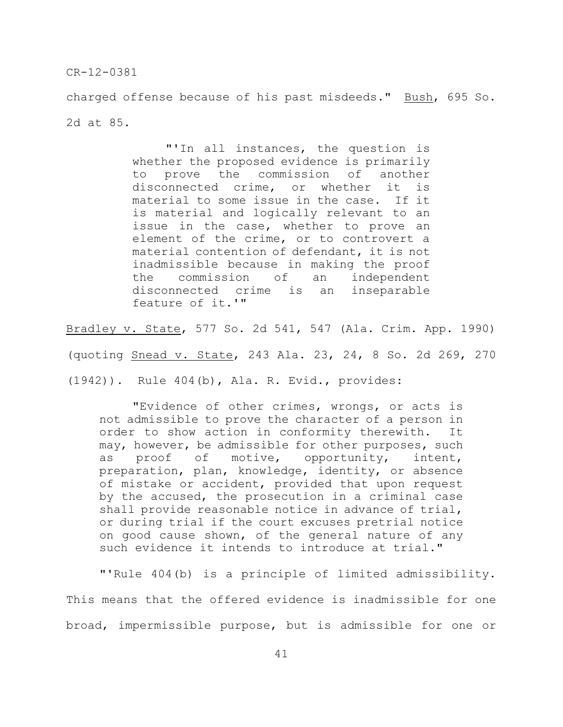charged offense because of his past misdeeds." Bush, 695 So. 2d at 85.

> "'In all instances, the question is whether the proposed evidence is primarily to prove the commission of another disconnected crime, or whether it is material to some issue in the case. If it is material and logically relevant to an issue in the case, whether to prove an element of the crime, or to controvert a material contention of defendant, it is not inadmissible because in making the proof the commission of an independent disconnected crime is an inseparable feature of it.'"

Bradley v. State, 577 So. 2d 541, 547 (Ala. Crim. App. 1990)

(quoting Snead v. State, 243 Ala. 23, 24, 8 So. 2d 269, 270

(1942)). Rule 404(b), Ala. R. Evid., provides:

"Evidence of other crimes, wrongs, or acts is not admissible to prove the character of a person in order to show action in conformity therewith. It may, however, be admissible for other purposes, such as proof of motive, opportunity, intent, preparation, plan, knowledge, identity, or absence of mistake or accident, provided that upon request by the accused, the prosecution in a criminal case shall provide reasonable notice in advance of trial, or during trial if the court excuses pretrial notice on good cause shown, of the general nature of any such evidence it intends to introduce at trial."

"'Rule 404(b) is a principle of limited admissibility. This means that the offered evidence is inadmissible for one broad, impermissible purpose, but is admissible for one or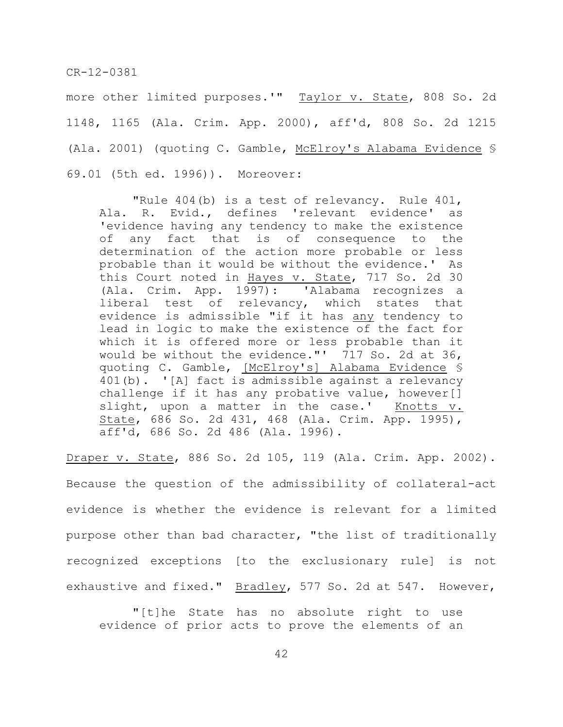more other limited purposes.'" Taylor v. State, 808 So. 2d 1148, 1165 (Ala. Crim. App. 2000), aff'd, 808 So. 2d 1215 (Ala. 2001) (quoting C. Gamble, McElroy's Alabama Evidence § 69.01 (5th ed. 1996)). Moreover:

"Rule 404(b) is a test of relevancy. Rule 401, Ala. R. Evid., defines 'relevant evidence' as 'evidence having any tendency to make the existence of any fact that is of consequence to the determination of the action more probable or less probable than it would be without the evidence.' As this Court noted in Hayes v. State, 717 So. 2d 30 (Ala. Crim. App. 1997): 'Alabama recognizes a liberal test of relevancy, which states that evidence is admissible "if it has any tendency to lead in logic to make the existence of the fact for which it is offered more or less probable than it would be without the evidence."' 717 So. 2d at 36, quoting C. Gamble, [McElroy's] Alabama Evidence § 401(b). '[A] fact is admissible against a relevancy challenge if it has any probative value, however[] slight, upon a matter in the case.' Knotts v. State, 686 So. 2d 431, 468 (Ala. Crim. App. 1995), aff'd, 686 So. 2d 486 (Ala. 1996).

Draper v. State, 886 So. 2d 105, 119 (Ala. Crim. App. 2002). Because the question of the admissibility of collateral-act evidence is whether the evidence is relevant for a limited purpose other than bad character, "the list of traditionally recognized exceptions [to the exclusionary rule] is not exhaustive and fixed." Bradley, 577 So. 2d at 547. However,

"[t]he State has no absolute right to use evidence of prior acts to prove the elements of an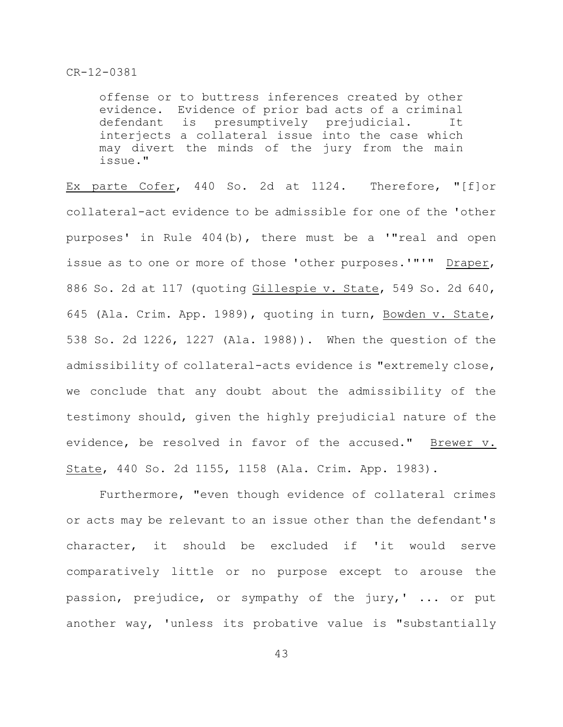offense or to buttress inferences created by other evidence. Evidence of prior bad acts of a criminal defendant is presumptively prejudicial. It interjects a collateral issue into the case which may divert the minds of the jury from the main issue."

Ex parte Cofer, 440 So. 2d at 1124. Therefore, "[f]or collateral-act evidence to be admissible for one of the 'other purposes' in Rule 404(b), there must be a '"real and open issue as to one or more of those 'other purposes.'"'" Draper, 886 So. 2d at 117 (quoting Gillespie v. State, 549 So. 2d 640, 645 (Ala. Crim. App. 1989), quoting in turn, Bowden v. State, 538 So. 2d 1226, 1227 (Ala. 1988)). When the question of the admissibility of collateral-acts evidence is "extremely close, we conclude that any doubt about the admissibility of the testimony should, given the highly prejudicial nature of the evidence, be resolved in favor of the accused." Brewer v. State, 440 So. 2d 1155, 1158 (Ala. Crim. App. 1983).

Furthermore, "even though evidence of collateral crimes or acts may be relevant to an issue other than the defendant's character, it should be excluded if 'it would serve comparatively little or no purpose except to arouse the passion, prejudice, or sympathy of the jury,' ... or put another way, 'unless its probative value is "substantially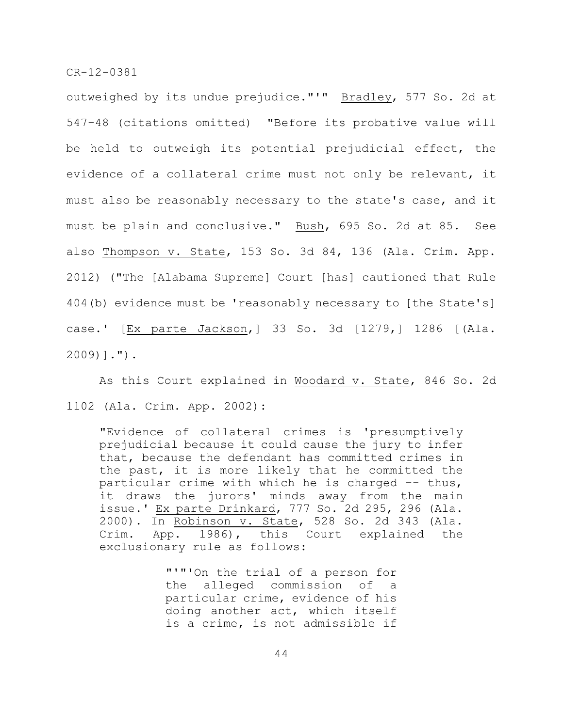outweighed by its undue prejudice."'" Bradley, 577 So. 2d at 547-48 (citations omitted) "Before its probative value will be held to outweigh its potential prejudicial effect, the evidence of a collateral crime must not only be relevant, it must also be reasonably necessary to the state's case, and it must be plain and conclusive." Bush, 695 So. 2d at 85. See also Thompson v. State, 153 So. 3d 84, 136 (Ala. Crim. App. 2012) ("The [Alabama Supreme] Court [has] cautioned that Rule 404(b) evidence must be 'reasonably necessary to [the State's] case.' [Ex parte Jackson,] 33 So. 3d [1279,] 1286 [(Ala. 2009)].").

As this Court explained in Woodard v. State, 846 So. 2d 1102 (Ala. Crim. App. 2002):

"Evidence of collateral crimes is 'presumptively prejudicial because it could cause the jury to infer that, because the defendant has committed crimes in the past, it is more likely that he committed the particular crime with which he is charged -- thus, it draws the jurors' minds away from the main issue.' Ex parte Drinkard, 777 So. 2d 295, 296 (Ala. 2000). In Robinson v. State, 528 So. 2d 343 (Ala. Crim. App. 1986), this Court explained the exclusionary rule as follows:

> "'"'On the trial of a person for the alleged commission of a particular crime, evidence of his doing another act, which itself is a crime, is not admissible if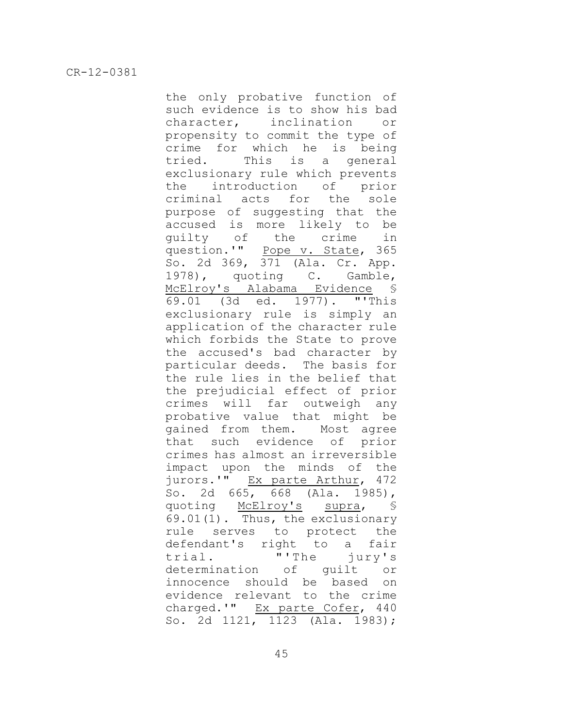the only probative function of such evidence is to show his bad character, inclination or propensity to commit the type of crime for which he is being tried. This is a general exclusionary rule which prevents the introduction of prior criminal acts for the sole purpose of suggesting that the accused is more likely to be guilty of the crime in question.'" Pope v. State, 365 So. 2d 369, 371 (Ala. Cr. App. 1978), quoting C. Gamble, McElroy's Alabama Evidence § 69.01 (3d ed. 1977). "'This exclusionary rule is simply an application of the character rule which forbids the State to prove the accused's bad character by particular deeds. The basis for the rule lies in the belief that the prejudicial effect of prior crimes will far outweigh any probative value that might be gained from them. Most agree that such evidence of prior crimes has almost an irreversible impact upon the minds of the jurors.'" Ex parte Arthur, 472 So. 2d 665, 668 (Ala. 1985), quoting McElroy's supra, § 69.01(1). Thus, the exclusionary rule serves to protect the defendant's right to a fair trial. "'The jury's determination of guilt or innocence should be based on evidence relevant to the crime charged.'" Ex parte Cofer, 440 So. 2d 1121, 1123 (Ala. 1983);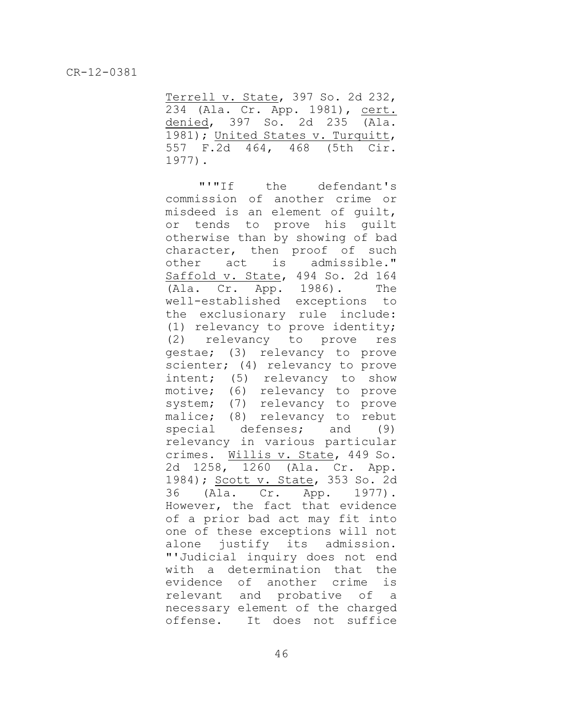Terrell v. State, 397 So. 2d 232, 234 (Ala. Cr. App. 1981), cert. denied, 397 So. 2d 235 (Ala. 1981); United States v. Turquitt, 557 F.2d 464, 468 (5th Cir. 1977).

"'"If the defendant's commission of another crime or misdeed is an element of guilt, or tends to prove his guilt otherwise than by showing of bad character, then proof of such other act is admissible." Saffold v. State, 494 So. 2d 164 (Ala. Cr. App. 1986). The well-established exceptions to the exclusionary rule include: (1) relevancy to prove identity; (2) relevancy to prove res gestae; (3) relevancy to prove scienter; (4) relevancy to prove intent; (5) relevancy to show motive; (6) relevancy to prove system; (7) relevancy to prove malice; (8) relevancy to rebut special defenses; and (9) relevancy in various particular crimes. Willis v. State, 449 So. 2d 1258, 1260 (Ala. Cr. App. 1984); Scott v. State, 353 So. 2d 36 (Ala. Cr. App. 1977). However, the fact that evidence of a prior bad act may fit into one of these exceptions will not alone justify its admission. "'Judicial inquiry does not end with a determination that the evidence of another crime is relevant and probative of a necessary element of the charged offense. It does not suffice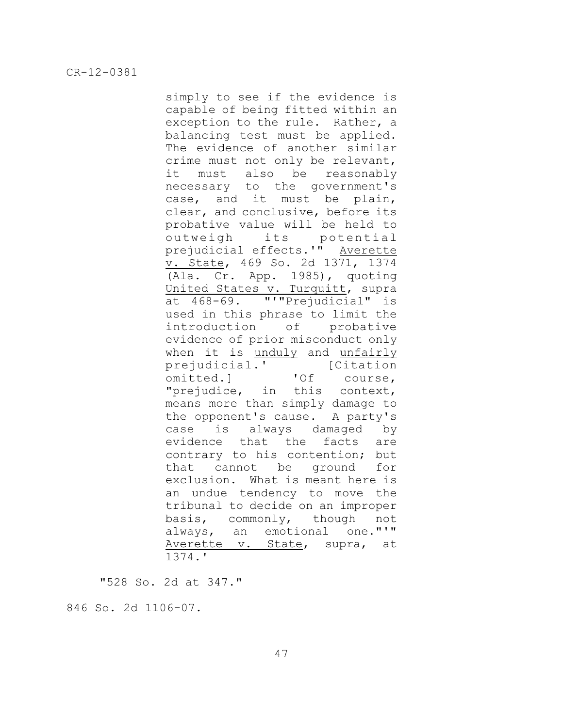simply to see if the evidence is capable of being fitted within an exception to the rule. Rather, a balancing test must be applied. The evidence of another similar crime must not only be relevant, it must also be reasonably necessary to the government's case, and it must be plain, clear, and conclusive, before its probative value will be held to outweigh its potential prejudicial effects.'" Averette v. State, 469 So. 2d 1371, 1374 (Ala. Cr. App. 1985), quoting United States v. Turquitt, supra at 468-69. "'"Prejudicial" is used in this phrase to limit the introduction of probative evidence of prior misconduct only when it is unduly and unfairly prejudicial.' [Citation omitted.] 'Of course, "prejudice, in this context, means more than simply damage to the opponent's cause. A party's case is always damaged by evidence that the facts are contrary to his contention; but that cannot be ground for exclusion. What is meant here is an undue tendency to move the tribunal to decide on an improper basis, commonly, though not always, an emotional one."'" Averette v. State, supra, at 1374.'

"528 So. 2d at 347."

846 So. 2d 1106-07.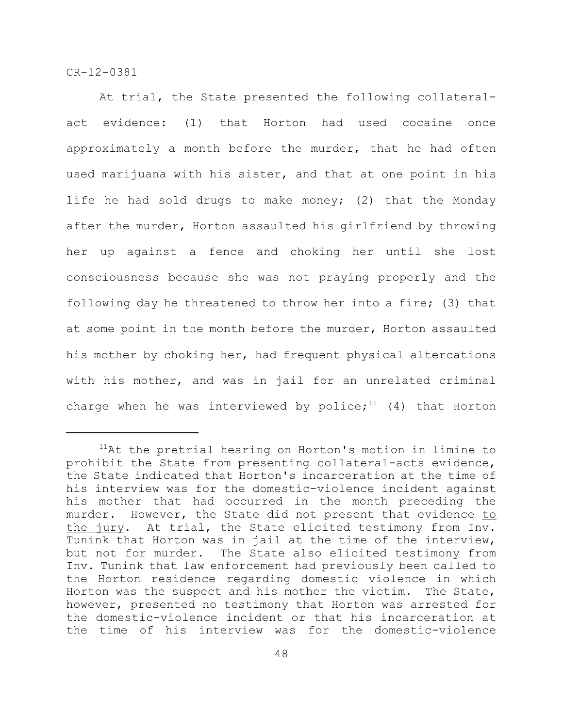At trial, the State presented the following collateralact evidence: (1) that Horton had used cocaine once approximately a month before the murder, that he had often used marijuana with his sister, and that at one point in his life he had sold drugs to make money; (2) that the Monday after the murder, Horton assaulted his girlfriend by throwing her up against a fence and choking her until she lost consciousness because she was not praying properly and the following day he threatened to throw her into a fire; (3) that at some point in the month before the murder, Horton assaulted his mother by choking her, had frequent physical altercations with his mother, and was in jail for an unrelated criminal charge when he was interviewed by police; $11$  (4) that Horton

 $11$ At the pretrial hearing on Horton's motion in limine to prohibit the State from presenting collateral-acts evidence, the State indicated that Horton's incarceration at the time of his interview was for the domestic-violence incident against his mother that had occurred in the month preceding the murder. However, the State did not present that evidence to the jury. At trial, the State elicited testimony from Inv. Tunink that Horton was in jail at the time of the interview, but not for murder. The State also elicited testimony from Inv. Tunink that law enforcement had previously been called to the Horton residence regarding domestic violence in which Horton was the suspect and his mother the victim. The State, however, presented no testimony that Horton was arrested for the domestic-violence incident or that his incarceration at the time of his interview was for the domestic-violence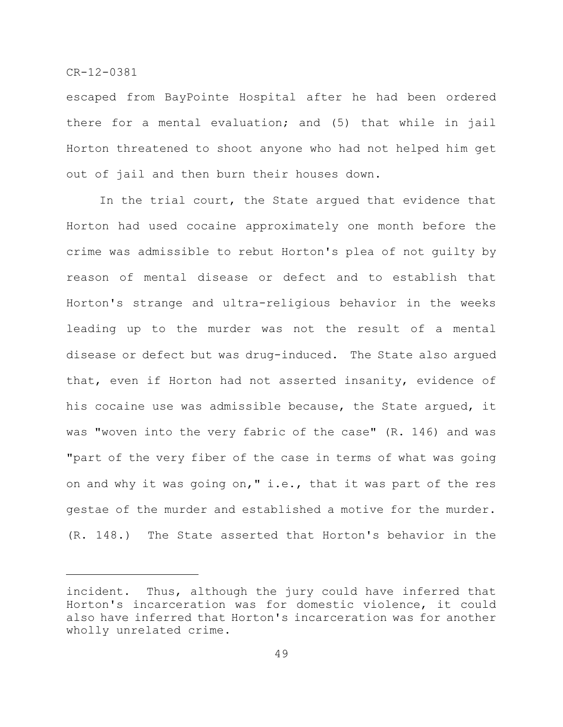escaped from BayPointe Hospital after he had been ordered there for a mental evaluation; and (5) that while in jail Horton threatened to shoot anyone who had not helped him get out of jail and then burn their houses down.

In the trial court, the State argued that evidence that Horton had used cocaine approximately one month before the crime was admissible to rebut Horton's plea of not guilty by reason of mental disease or defect and to establish that Horton's strange and ultra-religious behavior in the weeks leading up to the murder was not the result of a mental disease or defect but was drug-induced. The State also argued that, even if Horton had not asserted insanity, evidence of his cocaine use was admissible because, the State argued, it was "woven into the very fabric of the case" (R. 146) and was "part of the very fiber of the case in terms of what was going on and why it was going on," i.e., that it was part of the res gestae of the murder and established a motive for the murder. (R. 148.) The State asserted that Horton's behavior in the

incident. Thus, although the jury could have inferred that Horton's incarceration was for domestic violence, it could also have inferred that Horton's incarceration was for another wholly unrelated crime.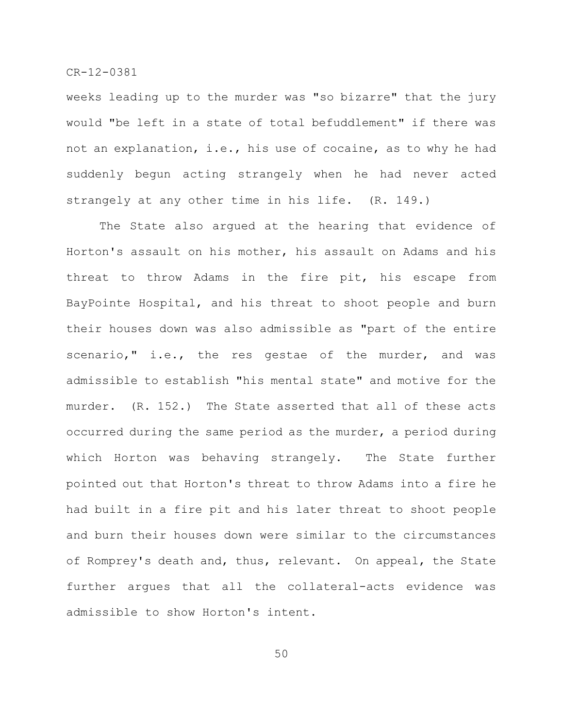weeks leading up to the murder was "so bizarre" that the jury would "be left in a state of total befuddlement" if there was not an explanation, i.e., his use of cocaine, as to why he had suddenly begun acting strangely when he had never acted strangely at any other time in his life. (R. 149.)

The State also argued at the hearing that evidence of Horton's assault on his mother, his assault on Adams and his threat to throw Adams in the fire pit, his escape from BayPointe Hospital, and his threat to shoot people and burn their houses down was also admissible as "part of the entire scenario," i.e., the res gestae of the murder, and was admissible to establish "his mental state" and motive for the murder. (R. 152.) The State asserted that all of these acts occurred during the same period as the murder, a period during which Horton was behaving strangely. The State further pointed out that Horton's threat to throw Adams into a fire he had built in a fire pit and his later threat to shoot people and burn their houses down were similar to the circumstances of Romprey's death and, thus, relevant. On appeal, the State further argues that all the collateral-acts evidence was admissible to show Horton's intent.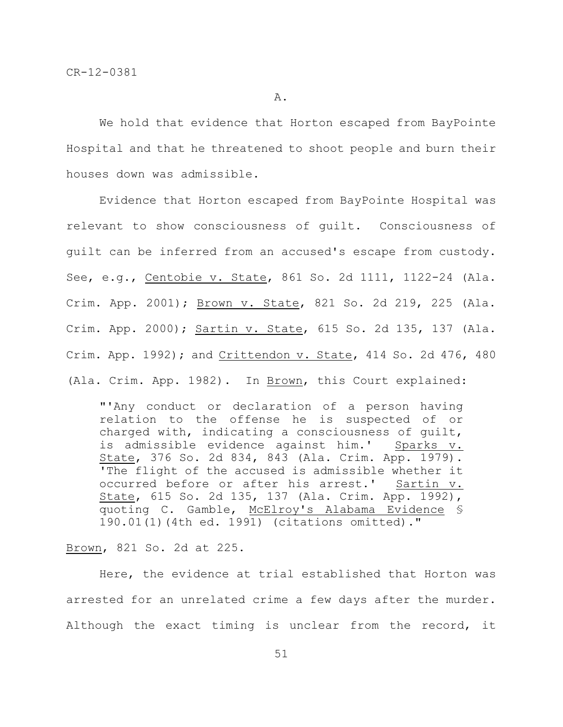We hold that evidence that Horton escaped from BayPointe Hospital and that he threatened to shoot people and burn their houses down was admissible.

Evidence that Horton escaped from BayPointe Hospital was relevant to show consciousness of guilt. Consciousness of guilt can be inferred from an accused's escape from custody. See, e.g., Centobie v. State, 861 So. 2d 1111, 1122-24 (Ala. Crim. App. 2001); Brown v. State, 821 So. 2d 219, 225 (Ala. Crim. App. 2000); Sartin v. State, 615 So. 2d 135, 137 (Ala. Crim. App. 1992); and Crittendon v. State, 414 So. 2d 476, 480 (Ala. Crim. App. 1982). In Brown, this Court explained:

"'Any conduct or declaration of a person having relation to the offense he is suspected of or charged with, indicating a consciousness of guilt, is admissible evidence against him.' Sparks v. State, 376 So. 2d 834, 843 (Ala. Crim. App. 1979). 'The flight of the accused is admissible whether it occurred before or after his arrest.' Sartin v. State, 615 So. 2d 135, 137 (Ala. Crim. App. 1992), quoting C. Gamble, McElroy's Alabama Evidence § 190.01(1)(4th ed. 1991) (citations omitted)."

## Brown, 821 So. 2d at 225.

Here, the evidence at trial established that Horton was arrested for an unrelated crime a few days after the murder. Although the exact timing is unclear from the record, it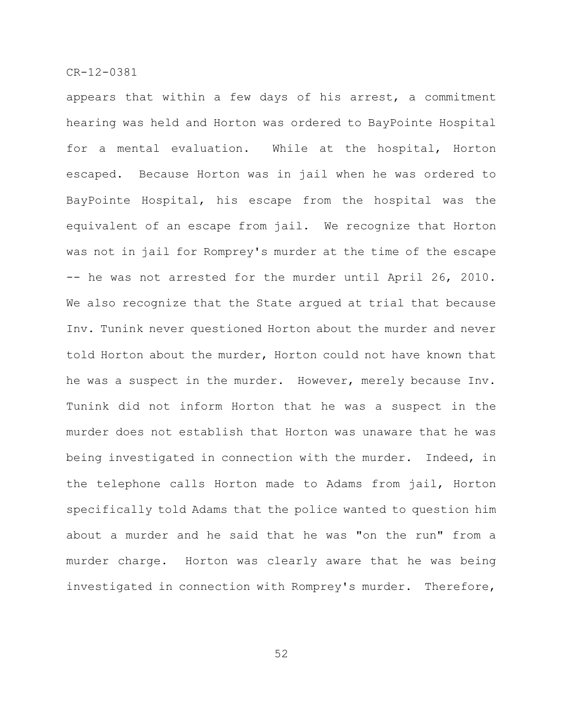appears that within a few days of his arrest, a commitment hearing was held and Horton was ordered to BayPointe Hospital for a mental evaluation. While at the hospital, Horton escaped. Because Horton was in jail when he was ordered to BayPointe Hospital, his escape from the hospital was the equivalent of an escape from jail. We recognize that Horton was not in jail for Romprey's murder at the time of the escape -- he was not arrested for the murder until April 26, 2010. We also recognize that the State argued at trial that because Inv. Tunink never questioned Horton about the murder and never told Horton about the murder, Horton could not have known that he was a suspect in the murder. However, merely because Inv. Tunink did not inform Horton that he was a suspect in the murder does not establish that Horton was unaware that he was being investigated in connection with the murder. Indeed, in the telephone calls Horton made to Adams from jail, Horton specifically told Adams that the police wanted to question him about a murder and he said that he was "on the run" from a murder charge. Horton was clearly aware that he was being investigated in connection with Romprey's murder. Therefore,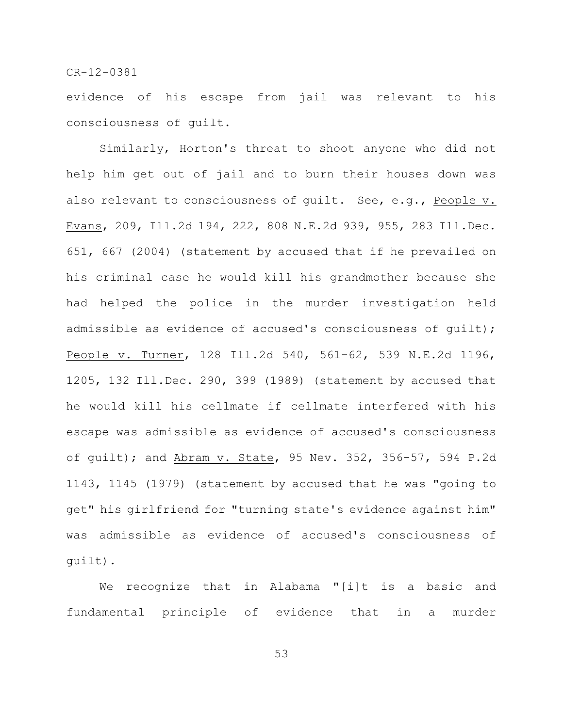evidence of his escape from jail was relevant to his consciousness of guilt.

Similarly, Horton's threat to shoot anyone who did not help him get out of jail and to burn their houses down was also relevant to consciousness of quilt. See, e.g., People v. Evans, 209, Ill.2d 194, 222, 808 N.E.2d 939, 955, 283 Ill.Dec. 651, 667 (2004) (statement by accused that if he prevailed on his criminal case he would kill his grandmother because she had helped the police in the murder investigation held admissible as evidence of accused's consciousness of quilt); People v. Turner, 128 Ill.2d 540, 561-62, 539 N.E.2d 1196, 1205, 132 Ill.Dec. 290, 399 (1989) (statement by accused that he would kill his cellmate if cellmate interfered with his escape was admissible as evidence of accused's consciousness of guilt); and Abram v. State, 95 Nev. 352, 356-57, 594 P.2d 1143, 1145 (1979) (statement by accused that he was "going to get" his girlfriend for "turning state's evidence against him" was admissible as evidence of accused's consciousness of guilt).

We recognize that in Alabama "[i]t is a basic and fundamental principle of evidence that in a murder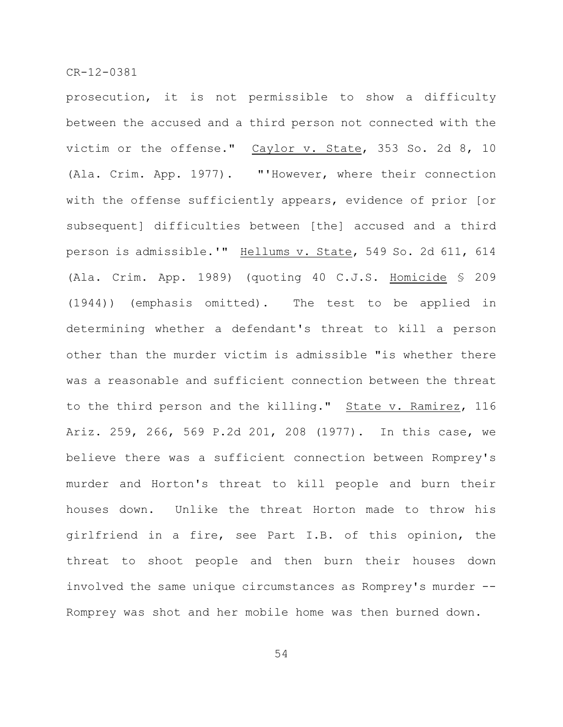prosecution, it is not permissible to show a difficulty between the accused and a third person not connected with the victim or the offense." Caylor v. State, 353 So. 2d 8, 10 (Ala. Crim. App. 1977). "'However, where their connection with the offense sufficiently appears, evidence of prior [or subsequent] difficulties between [the] accused and a third person is admissible.'" Hellums v. State, 549 So. 2d 611, 614 (Ala. Crim. App. 1989) (quoting 40 C.J.S. Homicide § 209 (1944)) (emphasis omitted). The test to be applied in determining whether a defendant's threat to kill a person other than the murder victim is admissible "is whether there was a reasonable and sufficient connection between the threat to the third person and the killing." State v. Ramirez, 116 Ariz. 259, 266, 569 P.2d 201, 208 (1977). In this case, we believe there was a sufficient connection between Romprey's murder and Horton's threat to kill people and burn their houses down. Unlike the threat Horton made to throw his girlfriend in a fire, see Part I.B. of this opinion, the threat to shoot people and then burn their houses down involved the same unique circumstances as Romprey's murder --Romprey was shot and her mobile home was then burned down.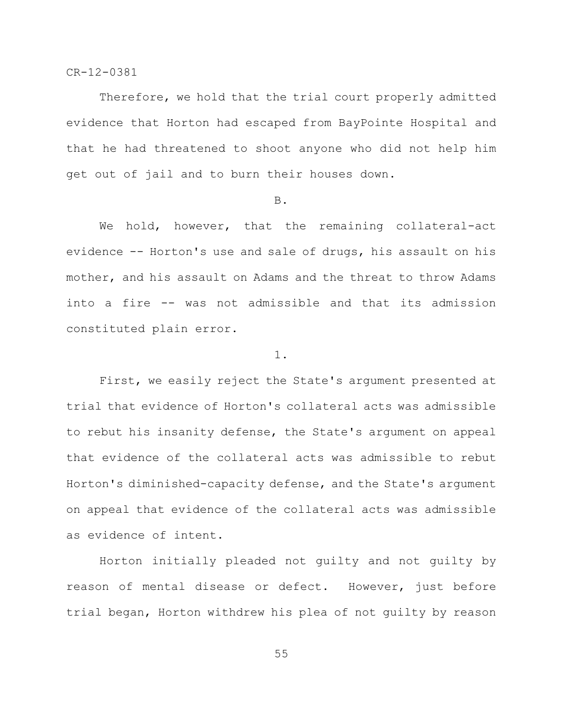Therefore, we hold that the trial court properly admitted evidence that Horton had escaped from BayPointe Hospital and that he had threatened to shoot anyone who did not help him get out of jail and to burn their houses down.

### B.

We hold, however, that the remaining collateral-act evidence -- Horton's use and sale of drugs, his assault on his mother, and his assault on Adams and the threat to throw Adams into a fire -- was not admissible and that its admission constituted plain error.

### 1.

First, we easily reject the State's argument presented at trial that evidence of Horton's collateral acts was admissible to rebut his insanity defense, the State's argument on appeal that evidence of the collateral acts was admissible to rebut Horton's diminished-capacity defense, and the State's argument on appeal that evidence of the collateral acts was admissible as evidence of intent.

Horton initially pleaded not guilty and not guilty by reason of mental disease or defect. However, just before trial began, Horton withdrew his plea of not guilty by reason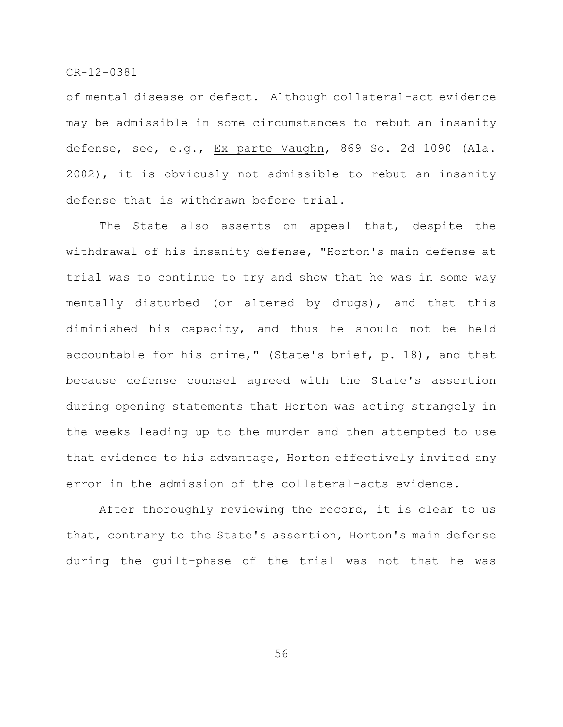of mental disease or defect. Although collateral-act evidence may be admissible in some circumstances to rebut an insanity defense, see, e.g., Ex parte Vaughn, 869 So. 2d 1090 (Ala. 2002), it is obviously not admissible to rebut an insanity defense that is withdrawn before trial.

The State also asserts on appeal that, despite the withdrawal of his insanity defense, "Horton's main defense at trial was to continue to try and show that he was in some way mentally disturbed (or altered by drugs), and that this diminished his capacity, and thus he should not be held accountable for his crime," (State's brief, p. 18), and that because defense counsel agreed with the State's assertion during opening statements that Horton was acting strangely in the weeks leading up to the murder and then attempted to use that evidence to his advantage, Horton effectively invited any error in the admission of the collateral-acts evidence.

After thoroughly reviewing the record, it is clear to us that, contrary to the State's assertion, Horton's main defense during the guilt-phase of the trial was not that he was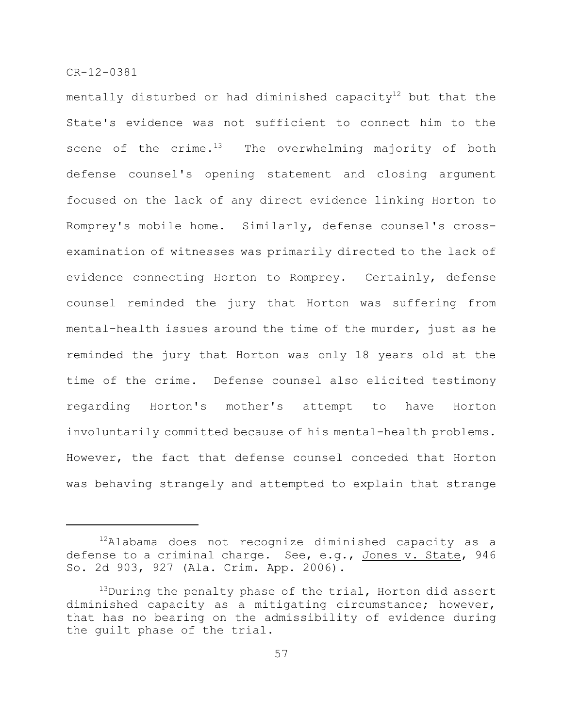mentally disturbed or had diminished capacity<sup>12</sup> but that the State's evidence was not sufficient to connect him to the scene of the crime. $13$  The overwhelming majority of both defense counsel's opening statement and closing argument focused on the lack of any direct evidence linking Horton to Romprey's mobile home. Similarly, defense counsel's crossexamination of witnesses was primarily directed to the lack of evidence connecting Horton to Romprey. Certainly, defense counsel reminded the jury that Horton was suffering from mental-health issues around the time of the murder, just as he reminded the jury that Horton was only 18 years old at the time of the crime. Defense counsel also elicited testimony regarding Horton's mother's attempt to have Horton involuntarily committed because of his mental-health problems. However, the fact that defense counsel conceded that Horton was behaving strangely and attempted to explain that strange

 $^{12}$ Alabama does not recognize diminished capacity as a defense to a criminal charge. See, e.g., Jones v. State, 946 So. 2d 903, 927 (Ala. Crim. App. 2006).

 $^{13}$ During the penalty phase of the trial, Horton did assert diminished capacity as a mitigating circumstance; however, that has no bearing on the admissibility of evidence during the guilt phase of the trial.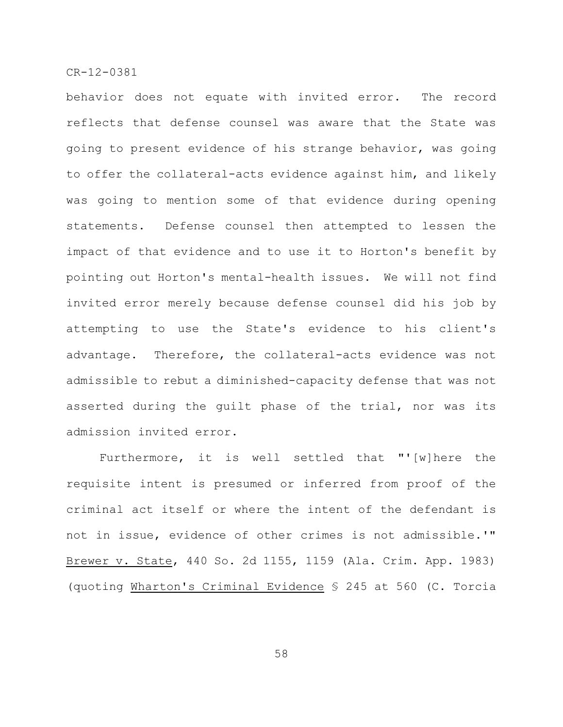behavior does not equate with invited error. The record reflects that defense counsel was aware that the State was going to present evidence of his strange behavior, was going to offer the collateral-acts evidence against him, and likely was going to mention some of that evidence during opening statements. Defense counsel then attempted to lessen the impact of that evidence and to use it to Horton's benefit by pointing out Horton's mental-health issues. We will not find invited error merely because defense counsel did his job by attempting to use the State's evidence to his client's advantage. Therefore, the collateral-acts evidence was not admissible to rebut a diminished-capacity defense that was not asserted during the guilt phase of the trial, nor was its admission invited error.

Furthermore, it is well settled that "'[w]here the requisite intent is presumed or inferred from proof of the criminal act itself or where the intent of the defendant is not in issue, evidence of other crimes is not admissible.'" Brewer v. State, 440 So. 2d 1155, 1159 (Ala. Crim. App. 1983) (quoting Wharton's Criminal Evidence § 245 at 560 (C. Torcia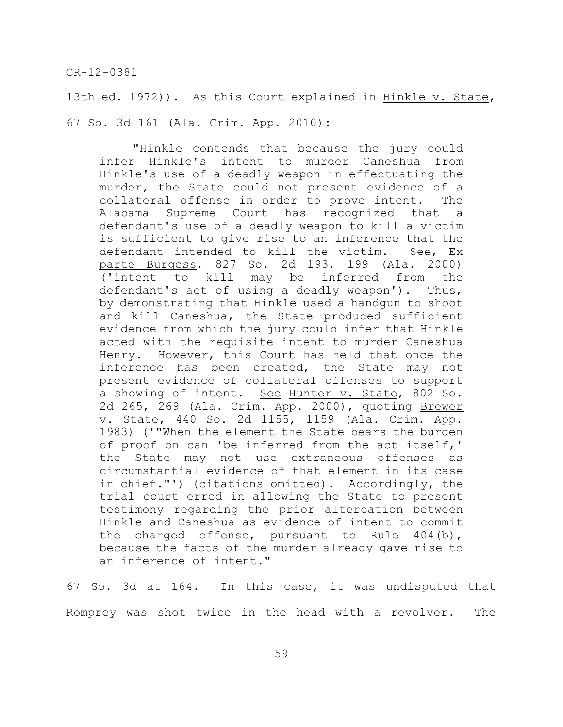13th ed. 1972)). As this Court explained in Hinkle v. State, 67 So. 3d 161 (Ala. Crim. App. 2010):

"Hinkle contends that because the jury could infer Hinkle's intent to murder Caneshua from Hinkle's use of a deadly weapon in effectuating the murder, the State could not present evidence of a collateral offense in order to prove intent. The Alabama Supreme Court has recognized that a defendant's use of a deadly weapon to kill a victim is sufficient to give rise to an inference that the defendant intended to kill the victim. See, Ex parte Burgess, 827 So. 2d 193, 199 (Ala. 2000) ('intent to kill may be inferred from the defendant's act of using a deadly weapon'). Thus, by demonstrating that Hinkle used a handgun to shoot and kill Caneshua, the State produced sufficient evidence from which the jury could infer that Hinkle acted with the requisite intent to murder Caneshua Henry. However, this Court has held that once the inference has been created, the State may not present evidence of collateral offenses to support a showing of intent. See Hunter v. State, 802 So. 2d 265, 269 (Ala. Crim. App. 2000), quoting Brewer v. State, 440 So. 2d 1155, 1159 (Ala. Crim. App. 1983) ('"When the element the State bears the burden of proof on can 'be inferred from the act itself,' the State may not use extraneous offenses as circumstantial evidence of that element in its case in chief."') (citations omitted). Accordingly, the trial court erred in allowing the State to present testimony regarding the prior altercation between Hinkle and Caneshua as evidence of intent to commit the charged offense, pursuant to Rule 404(b), because the facts of the murder already gave rise to an inference of intent."

67 So. 3d at 164. In this case, it was undisputed that Romprey was shot twice in the head with a revolver. The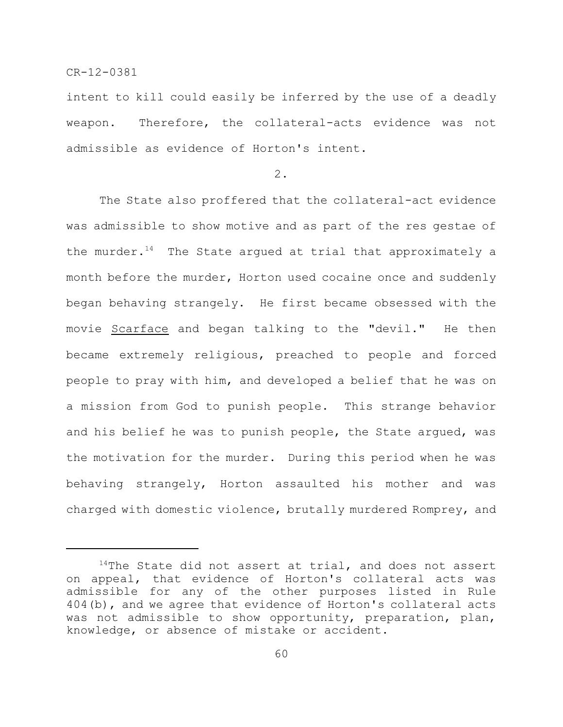intent to kill could easily be inferred by the use of a deadly weapon. Therefore, the collateral-acts evidence was not admissible as evidence of Horton's intent.

2.

The State also proffered that the collateral-act evidence was admissible to show motive and as part of the res gestae of the murder.<sup>14</sup> The State argued at trial that approximately a month before the murder, Horton used cocaine once and suddenly began behaving strangely. He first became obsessed with the movie Scarface and began talking to the "devil." He then became extremely religious, preached to people and forced people to pray with him, and developed a belief that he was on a mission from God to punish people. This strange behavior and his belief he was to punish people, the State argued, was the motivation for the murder. During this period when he was behaving strangely, Horton assaulted his mother and was charged with domestic violence, brutally murdered Romprey, and

 $14$ The State did not assert at trial, and does not assert on appeal, that evidence of Horton's collateral acts was admissible for any of the other purposes listed in Rule 404(b), and we agree that evidence of Horton's collateral acts was not admissible to show opportunity, preparation, plan, knowledge, or absence of mistake or accident.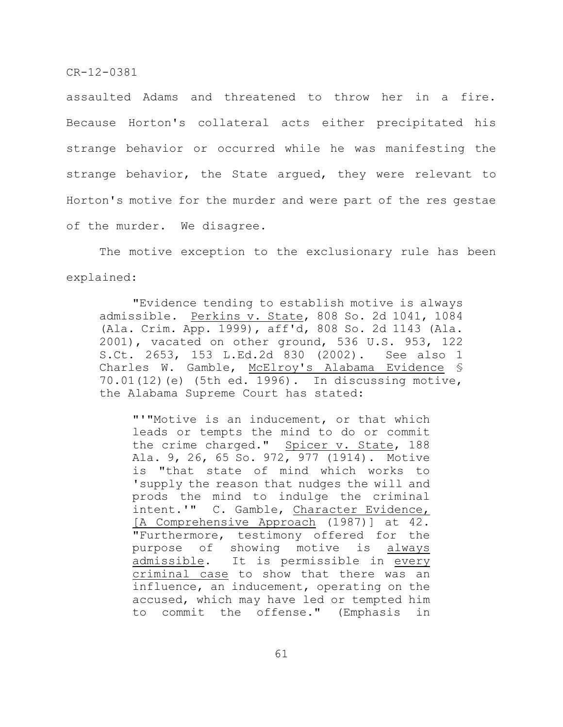assaulted Adams and threatened to throw her in a fire. Because Horton's collateral acts either precipitated his strange behavior or occurred while he was manifesting the strange behavior, the State argued, they were relevant to Horton's motive for the murder and were part of the res gestae of the murder. We disagree.

The motive exception to the exclusionary rule has been explained:

"Evidence tending to establish motive is always admissible. Perkins v. State, 808 So. 2d 1041, 1084 (Ala. Crim. App. 1999), aff'd, 808 So. 2d 1143 (Ala. 2001), vacated on other ground, 536 U.S. 953, 122 S.Ct. 2653, 153 L.Ed.2d 830 (2002). See also 1 Charles W. Gamble, McElroy's Alabama Evidence § 70.01(12)(e) (5th ed. 1996). In discussing motive, the Alabama Supreme Court has stated:

"'"Motive is an inducement, or that which leads or tempts the mind to do or commit the crime charged." Spicer v. State, 188 Ala. 9, 26, 65 So. 972, 977 (1914). Motive is "that state of mind which works to 'supply the reason that nudges the will and prods the mind to indulge the criminal intent.'" C. Gamble, Character Evidence, [A Comprehensive Approach (1987)] at 42. "Furthermore, testimony offered for the purpose of showing motive is always admissible. It is permissible in every criminal case to show that there was an influence, an inducement, operating on the accused, which may have led or tempted him to commit the offense." (Emphasis in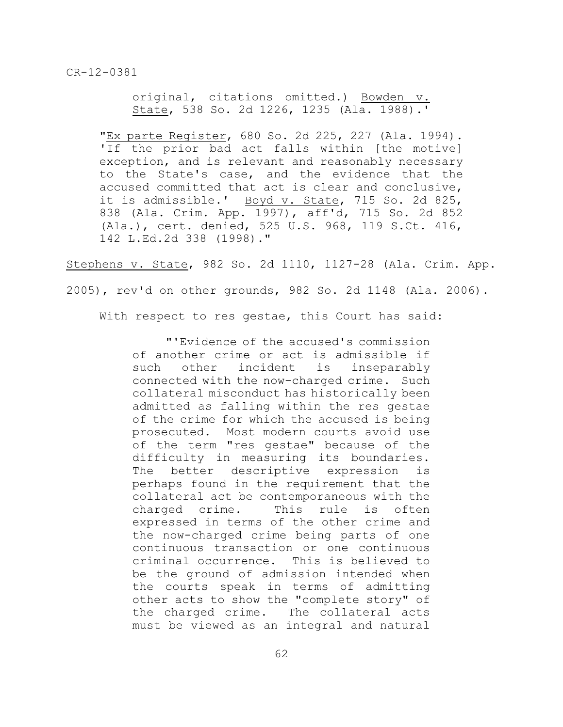original, citations omitted.) Bowden v. State, 538 So. 2d 1226, 1235 (Ala. 1988).'

"Ex parte Register, 680 So. 2d 225, 227 (Ala. 1994). 'If the prior bad act falls within [the motive] exception, and is relevant and reasonably necessary to the State's case, and the evidence that the accused committed that act is clear and conclusive, it is admissible.' Boyd v. State, 715 So. 2d 825, 838 (Ala. Crim. App. 1997), aff'd, 715 So. 2d 852 (Ala.), cert. denied, 525 U.S. 968, 119 S.Ct. 416, 142 L.Ed.2d 338 (1998)."

Stephens v. State, 982 So. 2d 1110, 1127-28 (Ala. Crim. App.

2005), rev'd on other grounds, 982 So. 2d 1148 (Ala. 2006).

With respect to res gestae, this Court has said:

"'Evidence of the accused's commission of another crime or act is admissible if such other incident is inseparably connected with the now-charged crime. Such collateral misconduct has historically been admitted as falling within the res gestae of the crime for which the accused is being prosecuted. Most modern courts avoid use of the term "res gestae" because of the difficulty in measuring its boundaries. The better descriptive expression is perhaps found in the requirement that the collateral act be contemporaneous with the charged crime. This rule is often expressed in terms of the other crime and the now-charged crime being parts of one continuous transaction or one continuous criminal occurrence. This is believed to be the ground of admission intended when the courts speak in terms of admitting other acts to show the "complete story" of the charged crime. The collateral acts must be viewed as an integral and natural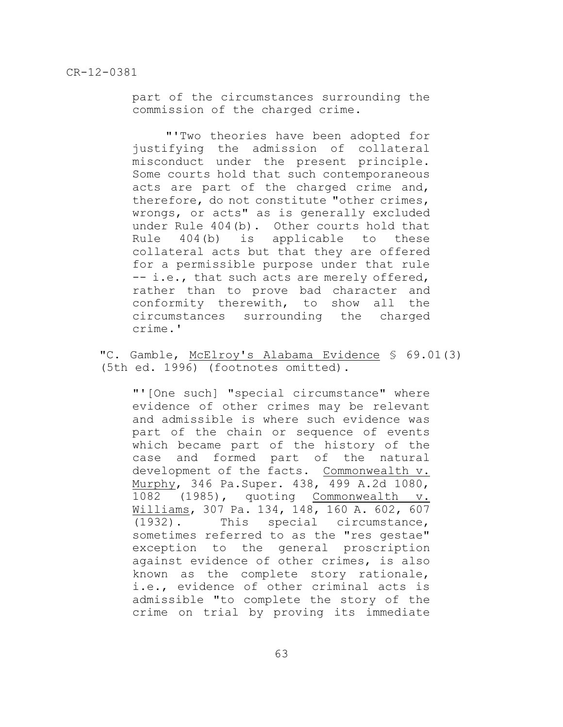part of the circumstances surrounding the commission of the charged crime.

"'Two theories have been adopted for justifying the admission of collateral misconduct under the present principle. Some courts hold that such contemporaneous acts are part of the charged crime and, therefore, do not constitute "other crimes, wrongs, or acts" as is generally excluded under Rule 404(b). Other courts hold that Rule 404(b) is applicable to these collateral acts but that they are offered for a permissible purpose under that rule -- i.e., that such acts are merely offered, rather than to prove bad character and conformity therewith, to show all the circumstances surrounding the charged crime.'

"C. Gamble, McElroy's Alabama Evidence § 69.01(3) (5th ed. 1996) (footnotes omitted).

"'[One such] "special circumstance" where evidence of other crimes may be relevant and admissible is where such evidence was part of the chain or sequence of events which became part of the history of the case and formed part of the natural development of the facts. Commonwealth v. Murphy, 346 Pa.Super. 438, 499 A.2d 1080, 1082 (1985), quoting Commonwealth v. Williams, 307 Pa. 134, 148, 160 A. 602, 607 (1932). This special circumstance, sometimes referred to as the "res gestae" exception to the general proscription against evidence of other crimes, is also known as the complete story rationale, i.e., evidence of other criminal acts is admissible "to complete the story of the crime on trial by proving its immediate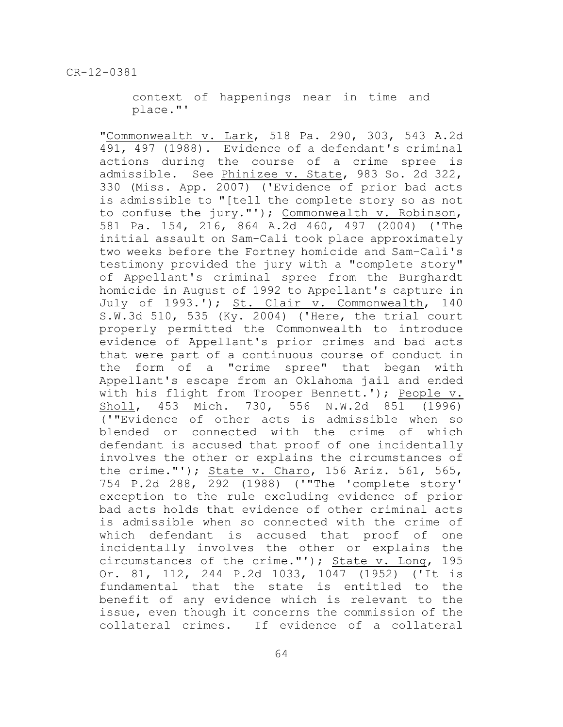context of happenings near in time and place."'

"Commonwealth v. Lark, 518 Pa. 290, 303, 543 A.2d 491, 497 (1988). Evidence of a defendant's criminal actions during the course of a crime spree is admissible. See Phinizee v. State, 983 So. 2d 322, 330 (Miss. App. 2007) ('Evidence of prior bad acts is admissible to "[tell the complete story so as not to confuse the jury."'); Commonwealth v. Robinson, 581 Pa. 154, 216, 864 A.2d 460, 497 (2004) ('The initial assault on Sam-Cali took place approximately two weeks before the Fortney homicide and Sam–Cali's testimony provided the jury with a "complete story" of Appellant's criminal spree from the Burghardt homicide in August of 1992 to Appellant's capture in July of 1993.'); St. Clair v. Commonwealth, 140  $S.W.3d 510, 535 (Ky. 2004)$  ('Here, the trial court properly permitted the Commonwealth to introduce evidence of Appellant's prior crimes and bad acts that were part of a continuous course of conduct in the form of a "crime spree" that began with Appellant's escape from an Oklahoma jail and ended with his flight from Trooper Bennett.'); People v. Sholl, 453 Mich. 730, 556 N.W.2d 851 (1996) ('"Evidence of other acts is admissible when so blended or connected with the crime of which defendant is accused that proof of one incidentally involves the other or explains the circumstances of the crime."'); State v. Charo, 156 Ariz. 561, 565, 754 P.2d 288, 292 (1988) ('"The 'complete story' exception to the rule excluding evidence of prior bad acts holds that evidence of other criminal acts is admissible when so connected with the crime of which defendant is accused that proof of one incidentally involves the other or explains the circumstances of the crime."'); State v. Long, 195 Or. 81, 112, 244 P.2d 1033, 1047 (1952) ('It is fundamental that the state is entitled to the benefit of any evidence which is relevant to the issue, even though it concerns the commission of the collateral crimes. If evidence of a collateral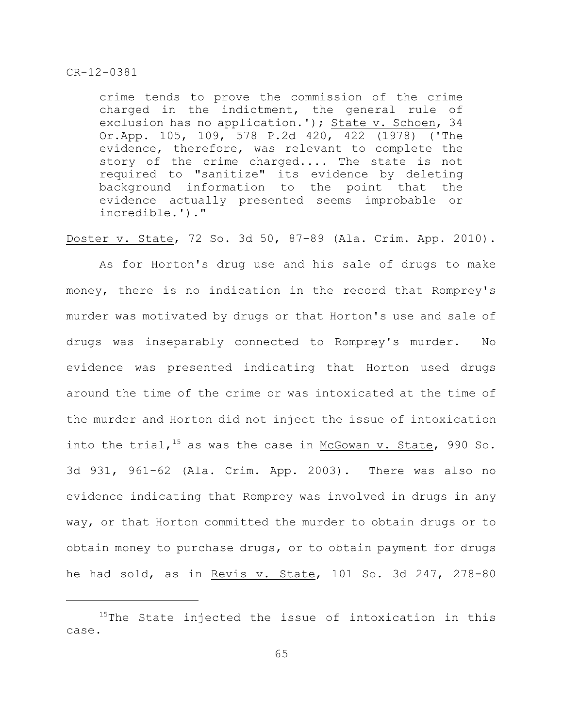crime tends to prove the commission of the crime charged in the indictment, the general rule of exclusion has no application.'); State v. Schoen, 34 Or.App. 105, 109, 578 P.2d 420, 422 (1978) ('The evidence, therefore, was relevant to complete the story of the crime charged.... The state is not required to "sanitize" its evidence by deleting background information to the point that the evidence actually presented seems improbable or incredible.')."

Doster v. State, 72 So. 3d 50, 87-89 (Ala. Crim. App. 2010).

As for Horton's drug use and his sale of drugs to make money, there is no indication in the record that Romprey's murder was motivated by drugs or that Horton's use and sale of drugs was inseparably connected to Romprey's murder. No evidence was presented indicating that Horton used drugs around the time of the crime or was intoxicated at the time of the murder and Horton did not inject the issue of intoxication into the trial,  $15$  as was the case in McGowan v. State, 990 So. 3d 931, 961-62 (Ala. Crim. App. 2003). There was also no evidence indicating that Romprey was involved in drugs in any way, or that Horton committed the murder to obtain drugs or to obtain money to purchase drugs, or to obtain payment for drugs he had sold, as in Revis v. State, 101 So. 3d 247, 278-80

 $15$ The State injected the issue of intoxication in this case.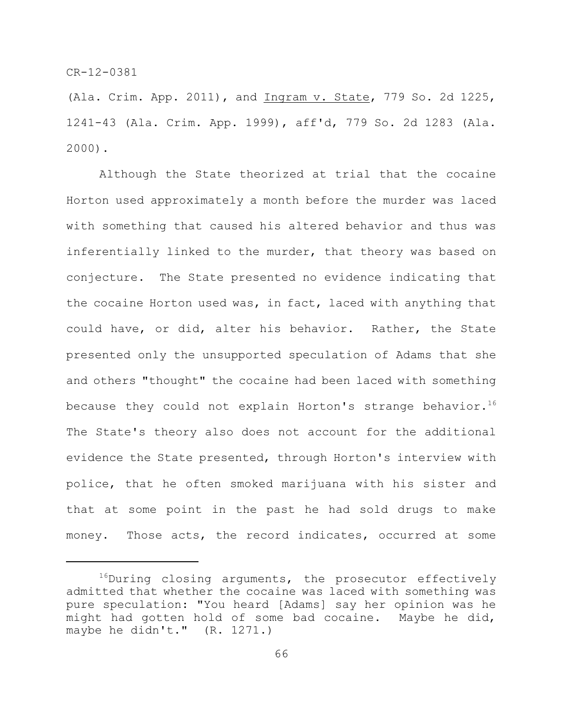(Ala. Crim. App. 2011), and Ingram v. State, 779 So. 2d 1225, 1241-43 (Ala. Crim. App. 1999), aff'd, 779 So. 2d 1283 (Ala. 2000).

Although the State theorized at trial that the cocaine Horton used approximately a month before the murder was laced with something that caused his altered behavior and thus was inferentially linked to the murder, that theory was based on conjecture. The State presented no evidence indicating that the cocaine Horton used was, in fact, laced with anything that could have, or did, alter his behavior. Rather, the State presented only the unsupported speculation of Adams that she and others "thought" the cocaine had been laced with something because they could not explain Horton's strange behavior.<sup>16</sup> The State's theory also does not account for the additional evidence the State presented, through Horton's interview with police, that he often smoked marijuana with his sister and that at some point in the past he had sold drugs to make money. Those acts, the record indicates, occurred at some

 $^{16}$ During closing arguments, the prosecutor effectively admitted that whether the cocaine was laced with something was pure speculation: "You heard [Adams] say her opinion was he might had gotten hold of some bad cocaine. Maybe he did, maybe he didn't." (R. 1271.)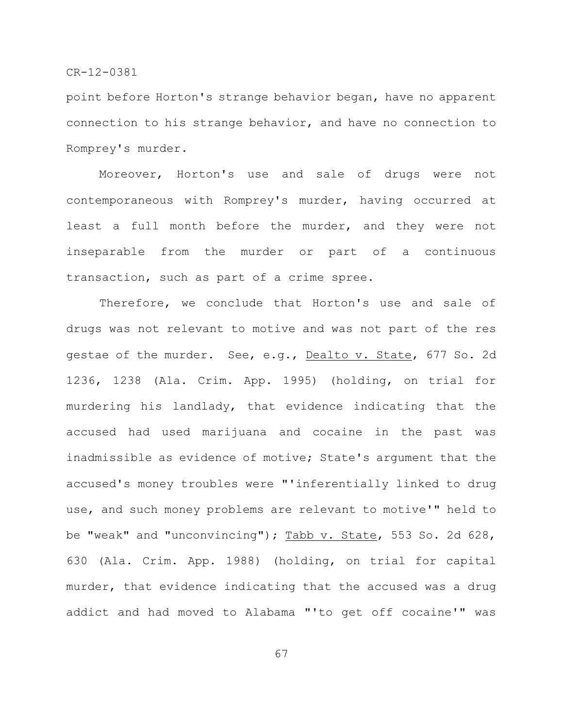point before Horton's strange behavior began, have no apparent connection to his strange behavior, and have no connection to Romprey's murder.

Moreover, Horton's use and sale of drugs were not contemporaneous with Romprey's murder, having occurred at least a full month before the murder, and they were not inseparable from the murder or part of a continuous transaction, such as part of a crime spree.

Therefore, we conclude that Horton's use and sale of drugs was not relevant to motive and was not part of the res gestae of the murder. See, e.g., Dealto v. State, 677 So. 2d 1236, 1238 (Ala. Crim. App. 1995) (holding, on trial for murdering his landlady, that evidence indicating that the accused had used marijuana and cocaine in the past was inadmissible as evidence of motive; State's argument that the accused's money troubles were "'inferentially linked to drug use, and such money problems are relevant to motive'" held to be "weak" and "unconvincing"); Tabb v. State, 553 So. 2d 628, 630 (Ala. Crim. App. 1988) (holding, on trial for capital murder, that evidence indicating that the accused was a drug addict and had moved to Alabama "'to get off cocaine'" was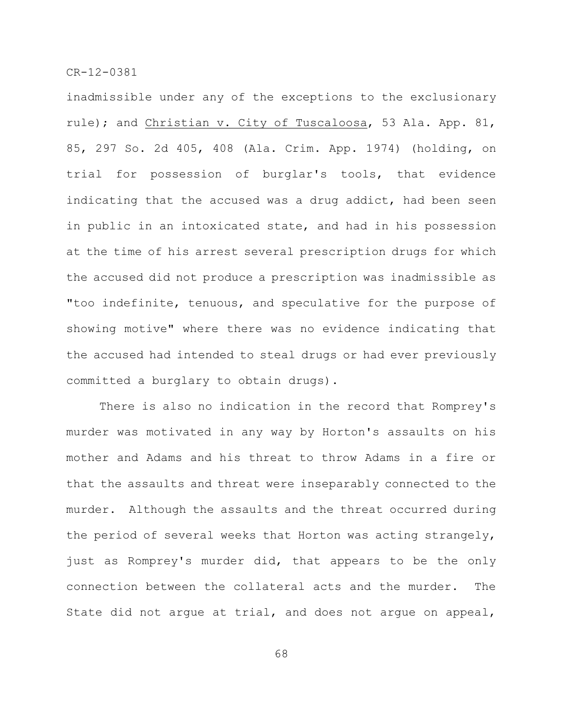inadmissible under any of the exceptions to the exclusionary rule); and Christian v. City of Tuscaloosa, 53 Ala. App. 81, 85, 297 So. 2d 405, 408 (Ala. Crim. App. 1974) (holding, on trial for possession of burglar's tools, that evidence indicating that the accused was a drug addict, had been seen in public in an intoxicated state, and had in his possession at the time of his arrest several prescription drugs for which the accused did not produce a prescription was inadmissible as "too indefinite, tenuous, and speculative for the purpose of showing motive" where there was no evidence indicating that the accused had intended to steal drugs or had ever previously committed a burglary to obtain drugs).

There is also no indication in the record that Romprey's murder was motivated in any way by Horton's assaults on his mother and Adams and his threat to throw Adams in a fire or that the assaults and threat were inseparably connected to the murder. Although the assaults and the threat occurred during the period of several weeks that Horton was acting strangely, just as Romprey's murder did, that appears to be the only connection between the collateral acts and the murder. The State did not argue at trial, and does not argue on appeal,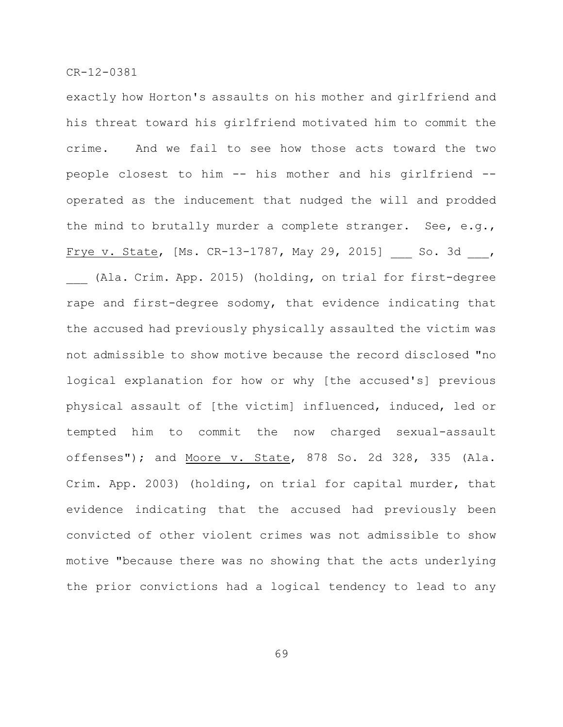exactly how Horton's assaults on his mother and girlfriend and his threat toward his girlfriend motivated him to commit the crime. And we fail to see how those acts toward the two people closest to him -- his mother and his girlfriend - operated as the inducement that nudged the will and prodded the mind to brutally murder a complete stranger. See, e.g., Frye v. State, [Ms. CR-13-1787, May 29, 2015] So. 3d , (Ala. Crim. App. 2015) (holding, on trial for first-degree rape and first-degree sodomy, that evidence indicating that the accused had previously physically assaulted the victim was not admissible to show motive because the record disclosed "no logical explanation for how or why [the accused's] previous physical assault of [the victim] influenced, induced, led or tempted him to commit the now charged sexual-assault offenses"); and Moore v. State, 878 So. 2d 328, 335 (Ala. Crim. App. 2003) (holding, on trial for capital murder, that evidence indicating that the accused had previously been convicted of other violent crimes was not admissible to show motive "because there was no showing that the acts underlying the prior convictions had a logical tendency to lead to any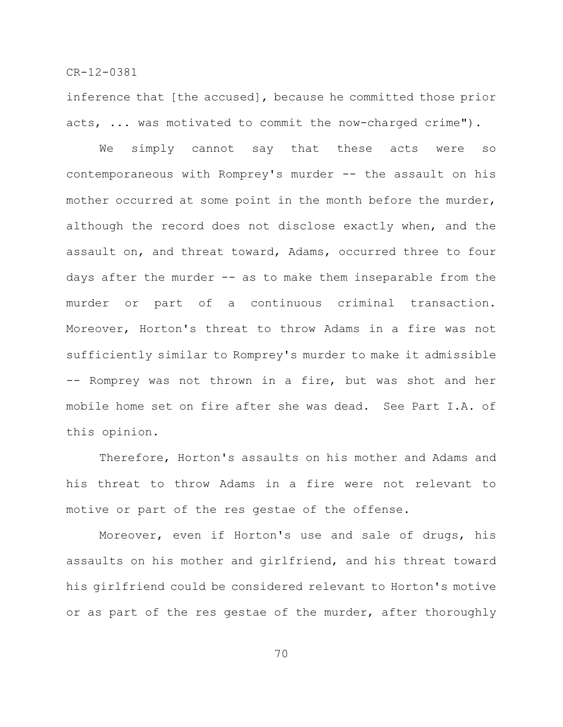inference that [the accused], because he committed those prior acts, ... was motivated to commit the now-charged crime").

We simply cannot say that these acts were so contemporaneous with Romprey's murder -- the assault on his mother occurred at some point in the month before the murder, although the record does not disclose exactly when, and the assault on, and threat toward, Adams, occurred three to four days after the murder -- as to make them inseparable from the murder or part of a continuous criminal transaction. Moreover, Horton's threat to throw Adams in a fire was not sufficiently similar to Romprey's murder to make it admissible -- Romprey was not thrown in a fire, but was shot and her mobile home set on fire after she was dead. See Part I.A. of this opinion.

Therefore, Horton's assaults on his mother and Adams and his threat to throw Adams in a fire were not relevant to motive or part of the res gestae of the offense.

Moreover, even if Horton's use and sale of drugs, his assaults on his mother and girlfriend, and his threat toward his girlfriend could be considered relevant to Horton's motive or as part of the res gestae of the murder, after thoroughly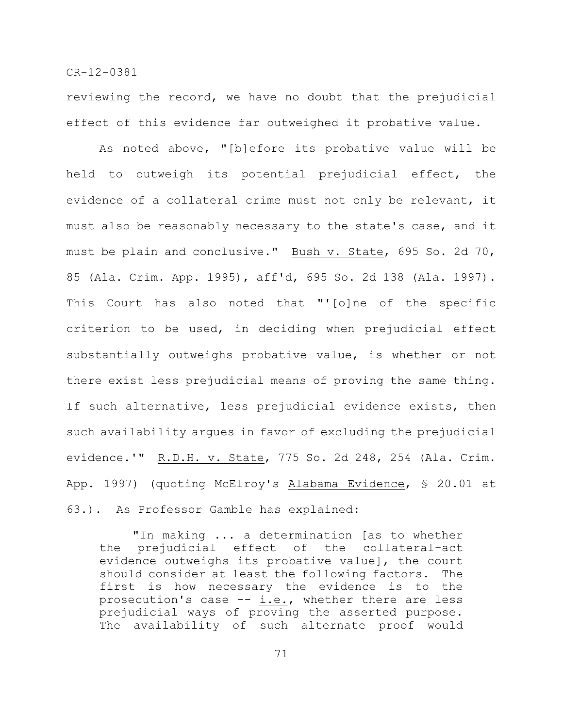reviewing the record, we have no doubt that the prejudicial effect of this evidence far outweighed it probative value.

As noted above, "[b]efore its probative value will be held to outweigh its potential prejudicial effect, the evidence of a collateral crime must not only be relevant, it must also be reasonably necessary to the state's case, and it must be plain and conclusive." Bush v. State, 695 So. 2d 70, 85 (Ala. Crim. App. 1995), aff'd, 695 So. 2d 138 (Ala. 1997). This Court has also noted that "'[o]ne of the specific criterion to be used, in deciding when prejudicial effect substantially outweighs probative value, is whether or not there exist less prejudicial means of proving the same thing. If such alternative, less prejudicial evidence exists, then such availability argues in favor of excluding the prejudicial evidence.'" R.D.H. v. State, 775 So. 2d 248, 254 (Ala. Crim. App. 1997) (quoting McElroy's Alabama Evidence, § 20.01 at 63.). As Professor Gamble has explained:

"In making ... a determination [as to whether the prejudicial effect of the collateral-act evidence outweighs its probative value], the court should consider at least the following factors. The first is how necessary the evidence is to the prosecution's case  $-$  i.e., whether there are less prejudicial ways of proving the asserted purpose. The availability of such alternate proof would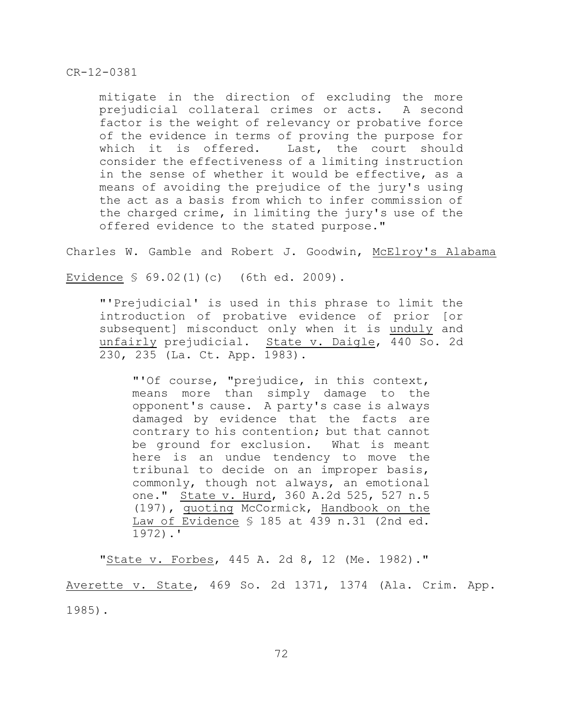mitigate in the direction of excluding the more prejudicial collateral crimes or acts. A second factor is the weight of relevancy or probative force of the evidence in terms of proving the purpose for which it is offered. Last, the court should consider the effectiveness of a limiting instruction in the sense of whether it would be effective, as a means of avoiding the prejudice of the jury's using the act as a basis from which to infer commission of the charged crime, in limiting the jury's use of the offered evidence to the stated purpose."

Charles W. Gamble and Robert J. Goodwin, McElroy's Alabama

Evidence § 69.02(1)(c) (6th ed. 2009).

"'Prejudicial' is used in this phrase to limit the introduction of probative evidence of prior [or subsequent] misconduct only when it is unduly and unfairly prejudicial. State v. Daigle, 440 So. 2d 230, 235 (La. Ct. App. 1983).

"'Of course, "prejudice, in this context, means more than simply damage to the opponent's cause. A party's case is always damaged by evidence that the facts are contrary to his contention; but that cannot be ground for exclusion. What is meant here is an undue tendency to move the tribunal to decide on an improper basis, commonly, though not always, an emotional one." State v. Hurd, 360 A.2d 525, 527 n.5 (197), quoting McCormick, Handbook on the Law of Evidence § 185 at 439 n.31 (2nd ed. 1972).'

"State v. Forbes, 445 A. 2d 8, 12 (Me. 1982)." Averette v. State, 469 So. 2d 1371, 1374 (Ala. Crim. App. 1985).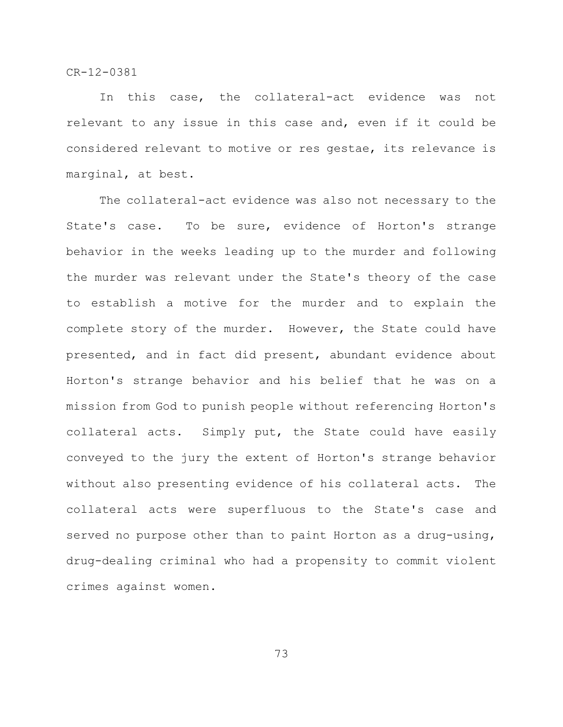In this case, the collateral-act evidence was not relevant to any issue in this case and, even if it could be considered relevant to motive or res gestae, its relevance is marginal, at best.

The collateral-act evidence was also not necessary to the State's case. To be sure, evidence of Horton's strange behavior in the weeks leading up to the murder and following the murder was relevant under the State's theory of the case to establish a motive for the murder and to explain the complete story of the murder. However, the State could have presented, and in fact did present, abundant evidence about Horton's strange behavior and his belief that he was on a mission from God to punish people without referencing Horton's collateral acts. Simply put, the State could have easily conveyed to the jury the extent of Horton's strange behavior without also presenting evidence of his collateral acts. The collateral acts were superfluous to the State's case and served no purpose other than to paint Horton as a drug-using, drug-dealing criminal who had a propensity to commit violent crimes against women.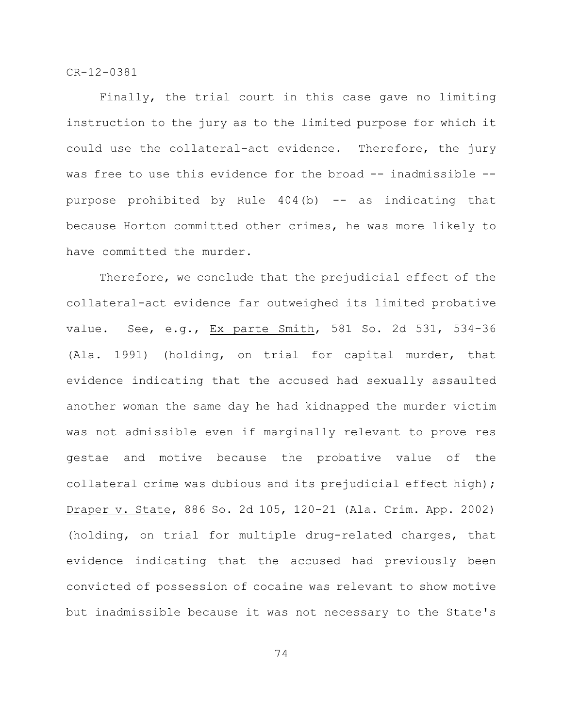Finally, the trial court in this case gave no limiting instruction to the jury as to the limited purpose for which it could use the collateral-act evidence. Therefore, the jury was free to use this evidence for the broad -- inadmissible -purpose prohibited by Rule  $404(b)$  -- as indicating that because Horton committed other crimes, he was more likely to have committed the murder.

Therefore, we conclude that the prejudicial effect of the collateral-act evidence far outweighed its limited probative value. See, e.g., Ex parte Smith, 581 So. 2d 531, 534-36 (Ala. 1991) (holding, on trial for capital murder, that evidence indicating that the accused had sexually assaulted another woman the same day he had kidnapped the murder victim was not admissible even if marginally relevant to prove res gestae and motive because the probative value of the collateral crime was dubious and its prejudicial effect high); Draper v. State, 886 So. 2d 105, 120-21 (Ala. Crim. App. 2002) (holding, on trial for multiple drug-related charges, that evidence indicating that the accused had previously been convicted of possession of cocaine was relevant to show motive but inadmissible because it was not necessary to the State's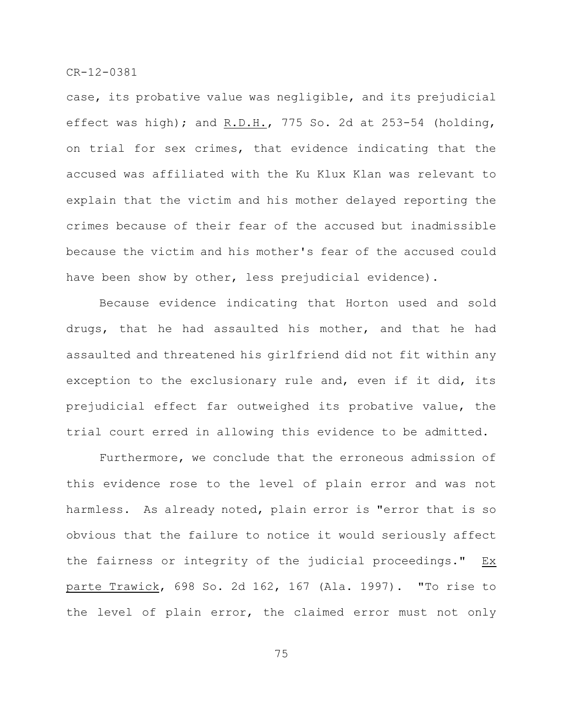case, its probative value was negligible, and its prejudicial effect was high); and R.D.H., 775 So. 2d at 253-54 (holding, on trial for sex crimes, that evidence indicating that the accused was affiliated with the Ku Klux Klan was relevant to explain that the victim and his mother delayed reporting the crimes because of their fear of the accused but inadmissible because the victim and his mother's fear of the accused could have been show by other, less prejudicial evidence).

Because evidence indicating that Horton used and sold drugs, that he had assaulted his mother, and that he had assaulted and threatened his girlfriend did not fit within any exception to the exclusionary rule and, even if it did, its prejudicial effect far outweighed its probative value, the trial court erred in allowing this evidence to be admitted.

Furthermore, we conclude that the erroneous admission of this evidence rose to the level of plain error and was not harmless. As already noted, plain error is "error that is so obvious that the failure to notice it would seriously affect the fairness or integrity of the judicial proceedings." Ex parte Trawick, 698 So. 2d 162, 167 (Ala. 1997). "To rise to the level of plain error, the claimed error must not only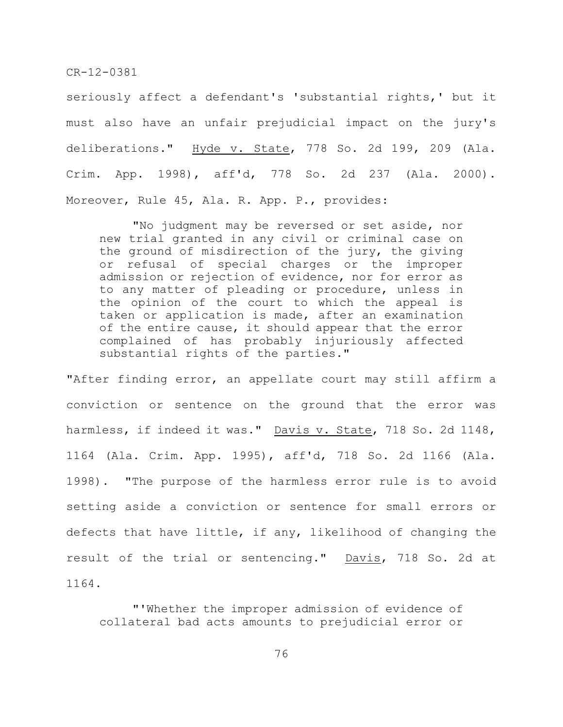seriously affect a defendant's 'substantial rights,' but it must also have an unfair prejudicial impact on the jury's deliberations." Hyde v. State, 778 So. 2d 199, 209 (Ala. Crim. App. 1998), aff'd, 778 So. 2d 237 (Ala. 2000). Moreover, Rule 45, Ala. R. App. P., provides:

"No judgment may be reversed or set aside, nor new trial granted in any civil or criminal case on the ground of misdirection of the jury, the giving or refusal of special charges or the improper admission or rejection of evidence, nor for error as to any matter of pleading or procedure, unless in the opinion of the court to which the appeal is taken or application is made, after an examination of the entire cause, it should appear that the error complained of has probably injuriously affected substantial rights of the parties."

"After finding error, an appellate court may still affirm a conviction or sentence on the ground that the error was harmless, if indeed it was." Davis v. State, 718 So. 2d 1148, 1164 (Ala. Crim. App. 1995), aff'd, 718 So. 2d 1166 (Ala. 1998). "The purpose of the harmless error rule is to avoid setting aside a conviction or sentence for small errors or defects that have little, if any, likelihood of changing the result of the trial or sentencing." Davis, 718 So. 2d at 1164.

"'Whether the improper admission of evidence of collateral bad acts amounts to prejudicial error or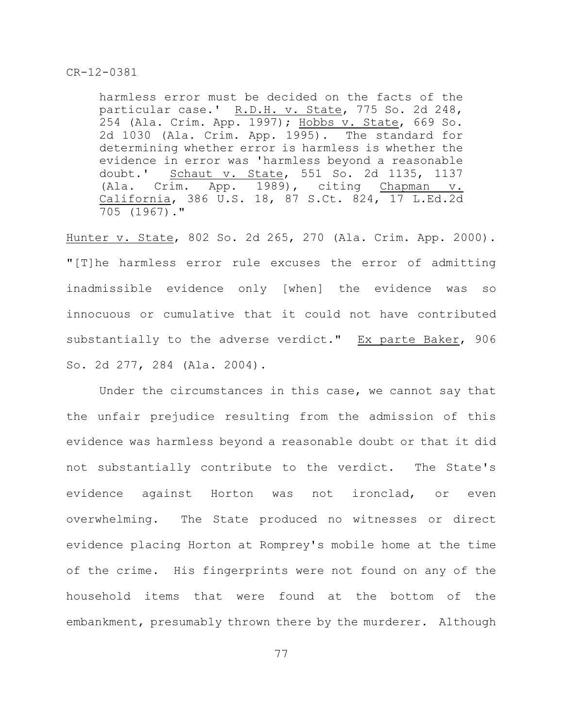harmless error must be decided on the facts of the particular case.' R.D.H. v. State, 775 So. 2d 248, 254 (Ala. Crim. App. 1997); Hobbs v. State, 669 So. 2d 1030 (Ala. Crim. App. 1995). The standard for determining whether error is harmless is whether the evidence in error was 'harmless beyond a reasonable doubt.' Schaut v. State, 551 So. 2d 1135, 1137 (Ala. Crim. App. 1989), citing Chapman v. California, 386 U.S. 18, 87 S.Ct. 824, 17 L.Ed.2d 705 (1967)."

Hunter v. State, 802 So. 2d 265, 270 (Ala. Crim. App. 2000). "[T]he harmless error rule excuses the error of admitting inadmissible evidence only [when] the evidence was so innocuous or cumulative that it could not have contributed substantially to the adverse verdict." Ex parte Baker, 906 So. 2d 277, 284 (Ala. 2004).

Under the circumstances in this case, we cannot say that the unfair prejudice resulting from the admission of this evidence was harmless beyond a reasonable doubt or that it did not substantially contribute to the verdict. The State's evidence against Horton was not ironclad, or even overwhelming. The State produced no witnesses or direct evidence placing Horton at Romprey's mobile home at the time of the crime. His fingerprints were not found on any of the household items that were found at the bottom of the embankment, presumably thrown there by the murderer. Although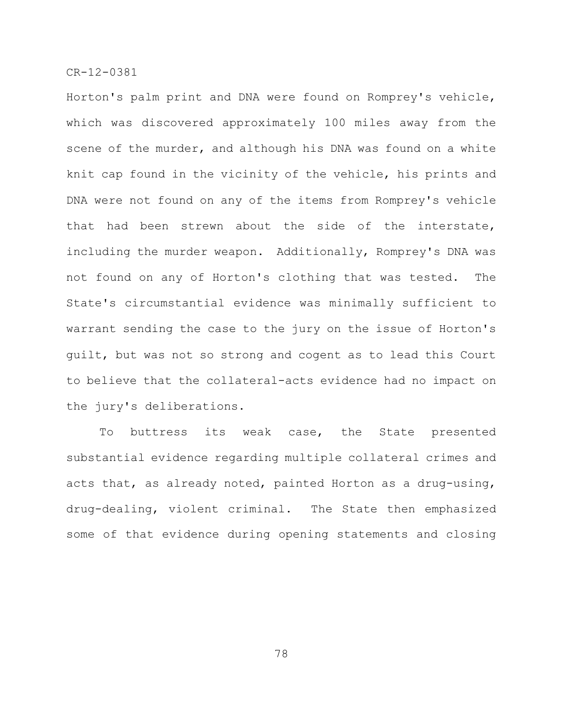Horton's palm print and DNA were found on Romprey's vehicle, which was discovered approximately 100 miles away from the scene of the murder, and although his DNA was found on a white knit cap found in the vicinity of the vehicle, his prints and DNA were not found on any of the items from Romprey's vehicle that had been strewn about the side of the interstate, including the murder weapon. Additionally, Romprey's DNA was not found on any of Horton's clothing that was tested. The State's circumstantial evidence was minimally sufficient to warrant sending the case to the jury on the issue of Horton's guilt, but was not so strong and cogent as to lead this Court to believe that the collateral-acts evidence had no impact on the jury's deliberations.

To buttress its weak case, the State presented substantial evidence regarding multiple collateral crimes and acts that, as already noted, painted Horton as a drug-using, drug-dealing, violent criminal. The State then emphasized some of that evidence during opening statements and closing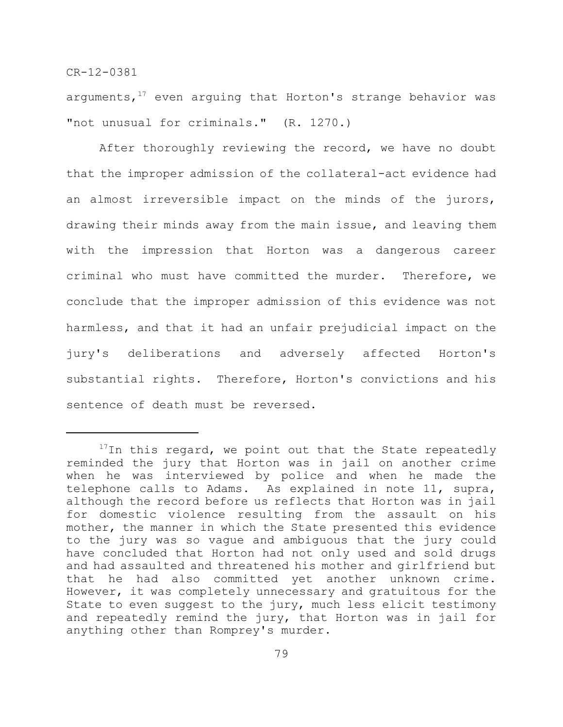arguments,  $17$  even arguing that Horton's strange behavior was "not unusual for criminals." (R. 1270.)

After thoroughly reviewing the record, we have no doubt that the improper admission of the collateral-act evidence had an almost irreversible impact on the minds of the jurors, drawing their minds away from the main issue, and leaving them with the impression that Horton was a dangerous career criminal who must have committed the murder. Therefore, we conclude that the improper admission of this evidence was not harmless, and that it had an unfair prejudicial impact on the jury's deliberations and adversely affected Horton's substantial rights. Therefore, Horton's convictions and his sentence of death must be reversed.

 $17$ In this regard, we point out that the State repeatedly reminded the jury that Horton was in jail on another crime when he was interviewed by police and when he made the telephone calls to Adams. As explained in note 11, supra, although the record before us reflects that Horton was in jail for domestic violence resulting from the assault on his mother, the manner in which the State presented this evidence to the jury was so vague and ambiguous that the jury could have concluded that Horton had not only used and sold drugs and had assaulted and threatened his mother and girlfriend but that he had also committed yet another unknown crime. However, it was completely unnecessary and gratuitous for the State to even suggest to the jury, much less elicit testimony and repeatedly remind the jury, that Horton was in jail for anything other than Romprey's murder.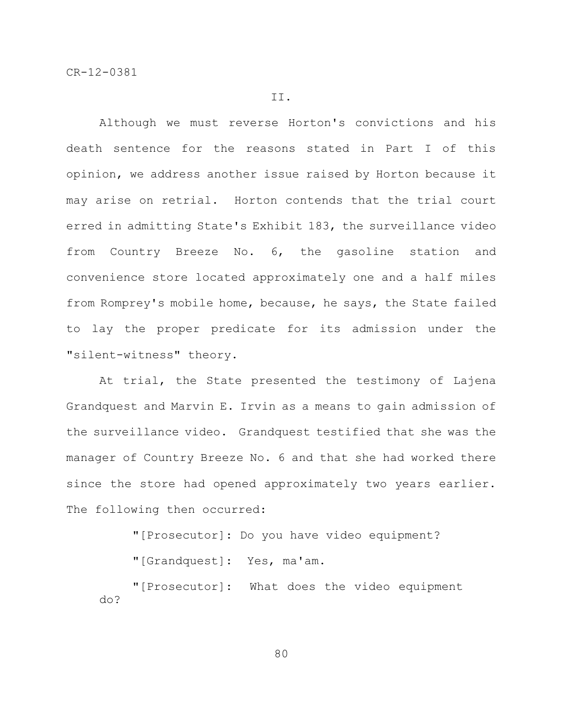II.

Although we must reverse Horton's convictions and his death sentence for the reasons stated in Part I of this opinion, we address another issue raised by Horton because it may arise on retrial. Horton contends that the trial court erred in admitting State's Exhibit 183, the surveillance video from Country Breeze No. 6, the gasoline station and convenience store located approximately one and a half miles from Romprey's mobile home, because, he says, the State failed to lay the proper predicate for its admission under the "silent-witness" theory.

At trial, the State presented the testimony of Lajena Grandquest and Marvin E. Irvin as a means to gain admission of the surveillance video. Grandquest testified that she was the manager of Country Breeze No. 6 and that she had worked there since the store had opened approximately two years earlier. The following then occurred:

"[Prosecutor]: Do you have video equipment?

"[Grandquest]: Yes, ma'am.

"[Prosecutor]: What does the video equipment do?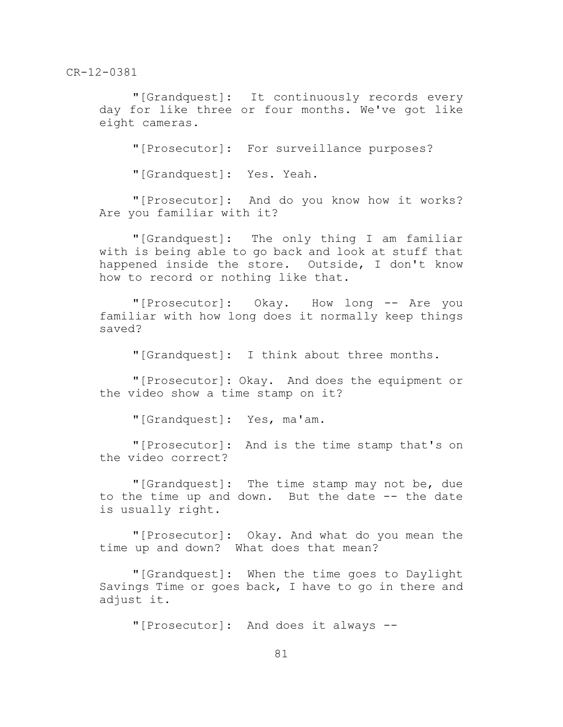"[Grandquest]: It continuously records every day for like three or four months. We've got like eight cameras.

"[Prosecutor]: For surveillance purposes?

"[Grandquest]: Yes. Yeah.

"[Prosecutor]: And do you know how it works? Are you familiar with it?

"[Grandquest]: The only thing I am familiar with is being able to go back and look at stuff that happened inside the store. Outside, I don't know how to record or nothing like that.

"[Prosecutor]: Okay. How long -- Are you familiar with how long does it normally keep things saved?

"[Grandquest]: I think about three months.

"[Prosecutor]: Okay. And does the equipment or the video show a time stamp on it?

"[Grandquest]: Yes, ma'am.

"[Prosecutor]: And is the time stamp that's on the video correct?

"[Grandquest]: The time stamp may not be, due to the time up and down. But the date -- the date is usually right.

"[Prosecutor]: Okay. And what do you mean the time up and down? What does that mean?

"[Grandquest]: When the time goes to Daylight Savings Time or goes back, I have to go in there and adjust it.

"[Prosecutor]: And does it always --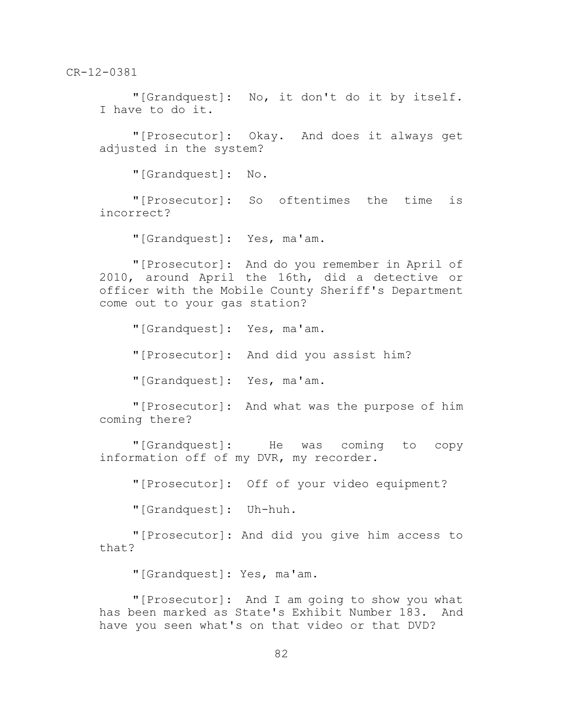"[Grandquest]: No, it don't do it by itself. I have to do it.

"[Prosecutor]: Okay. And does it always get adjusted in the system?

"[Grandquest]: No.

"[Prosecutor]: So oftentimes the time is incorrect?

"[Grandquest]: Yes, ma'am.

"[Prosecutor]: And do you remember in April of 2010, around April the 16th, did a detective or officer with the Mobile County Sheriff's Department come out to your gas station?

"[Grandquest]: Yes, ma'am.

"[Prosecutor]: And did you assist him?

"[Grandquest]: Yes, ma'am.

"[Prosecutor]: And what was the purpose of him coming there?

"[Grandquest]: He was coming to copy information off of my DVR, my recorder.

"[Prosecutor]: Off of your video equipment?

"[Grandquest]: Uh-huh.

"[Prosecutor]: And did you give him access to that?

"[Grandquest]: Yes, ma'am.

"[Prosecutor]: And I am going to show you what has been marked as State's Exhibit Number 183. And have you seen what's on that video or that DVD?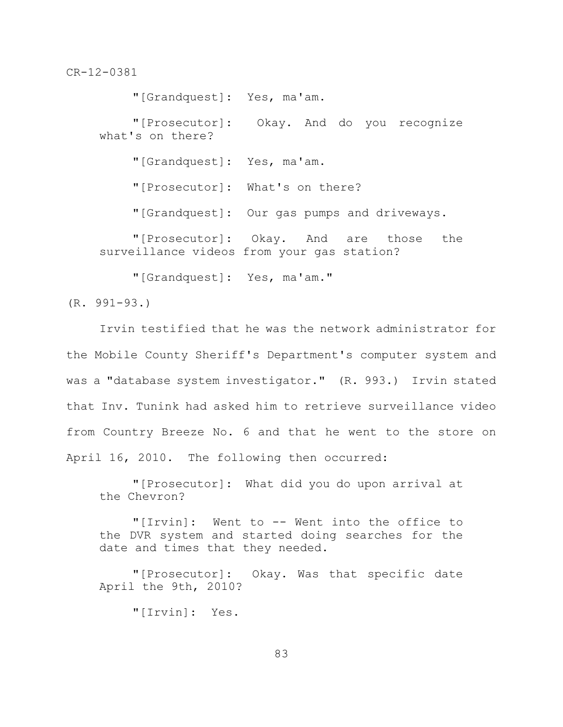"[Grandquest]: Yes, ma'am. "[Prosecutor]: Okay. And do you recognize what's on there? "[Grandquest]: Yes, ma'am. "[Prosecutor]: What's on there? "[Grandquest]: Our gas pumps and driveways. "[Prosecutor]: Okay. And are those the surveillance videos from your gas station? "[Grandquest]: Yes, ma'am."

(R. 991-93.)

Irvin testified that he was the network administrator for the Mobile County Sheriff's Department's computer system and was a "database system investigator." (R. 993.) Irvin stated that Inv. Tunink had asked him to retrieve surveillance video from Country Breeze No. 6 and that he went to the store on April 16, 2010. The following then occurred:

"[Prosecutor]: What did you do upon arrival at the Chevron?

"[Irvin]: Went to -- Went into the office to the DVR system and started doing searches for the date and times that they needed.

"[Prosecutor]: Okay. Was that specific date April the 9th, 2010?

"[Irvin]: Yes.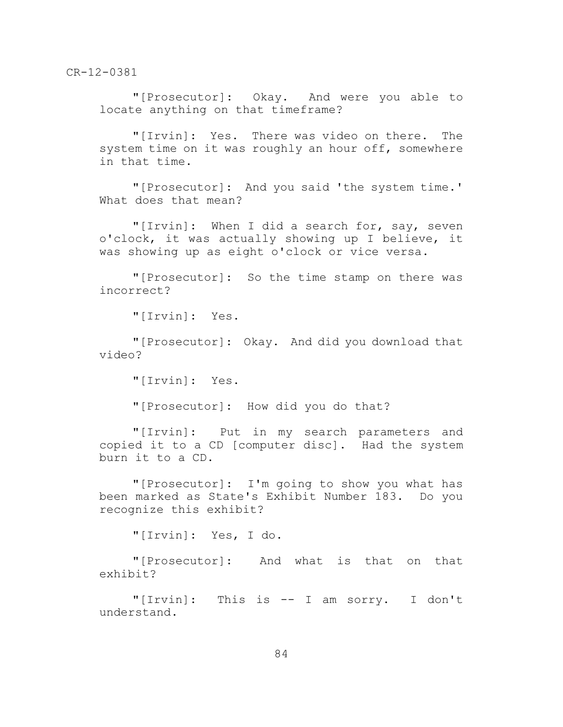"[Prosecutor]: Okay. And were you able to locate anything on that timeframe?

"[Irvin]: Yes. There was video on there. The system time on it was roughly an hour off, somewhere in that time.

"[Prosecutor]: And you said 'the system time.' What does that mean?

"[Irvin]: When I did a search for, say, seven o'clock, it was actually showing up I believe, it was showing up as eight o'clock or vice versa.

"[Prosecutor]: So the time stamp on there was incorrect?

"[Irvin]: Yes.

"[Prosecutor]: Okay. And did you download that video?

"[Irvin]: Yes.

"[Prosecutor]: How did you do that?

"[Irvin]: Put in my search parameters and copied it to a CD [computer disc]. Had the system burn it to a CD.

"[Prosecutor]: I'm going to show you what has been marked as State's Exhibit Number 183. Do you recognize this exhibit?

"[Irvin]: Yes, I do.

"[Prosecutor]: And what is that on that exhibit?

"[Irvin]: This is -- I am sorry. I don't understand.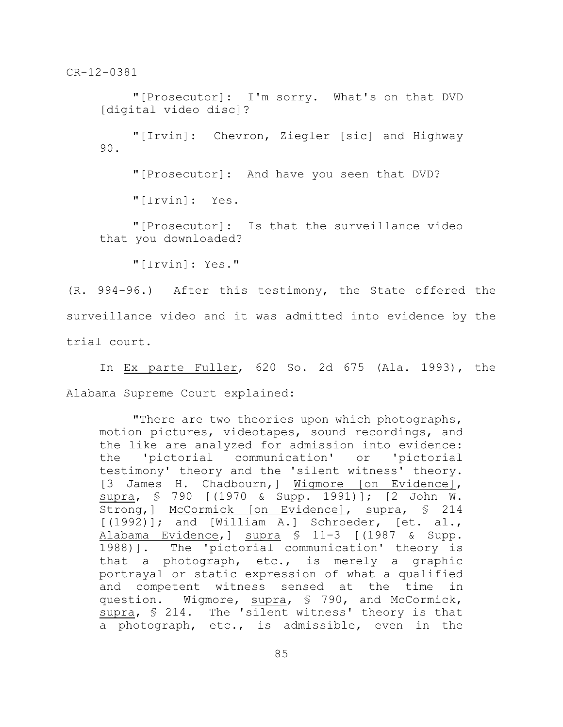"[Prosecutor]: I'm sorry. What's on that DVD [digital video disc]?

"[Irvin]: Chevron, Ziegler [sic] and Highway 90.

"[Prosecutor]: And have you seen that DVD?

"[Irvin]: Yes.

"[Prosecutor]: Is that the surveillance video that you downloaded?

"[Irvin]: Yes."

(R. 994-96.) After this testimony, the State offered the surveillance video and it was admitted into evidence by the trial court.

In Ex parte Fuller, 620 So. 2d 675 (Ala. 1993), the Alabama Supreme Court explained:

"There are two theories upon which photographs, motion pictures, videotapes, sound recordings, and the like are analyzed for admission into evidence: the 'pictorial communication' or 'pictorial testimony' theory and the 'silent witness' theory. [3 James H. Chadbourn,] Wigmore [on Evidence], supra, § 790 [(1970 & Supp. 1991)]; [2 John W. Strong, ] McCormick [on Evidence], supra, § 214 [(1992)]; and [William A.] Schroeder, [et. al., Alabama Evidence,] supra § 11–3 [(1987 & Supp. 1988)]. The 'pictorial communication' theory is that a photograph, etc., is merely a graphic portrayal or static expression of what a qualified and competent witness sensed at the time in question. Wigmore, supra, § 790, and McCormick, supra, § 214. The 'silent witness' theory is that a photograph, etc., is admissible, even in the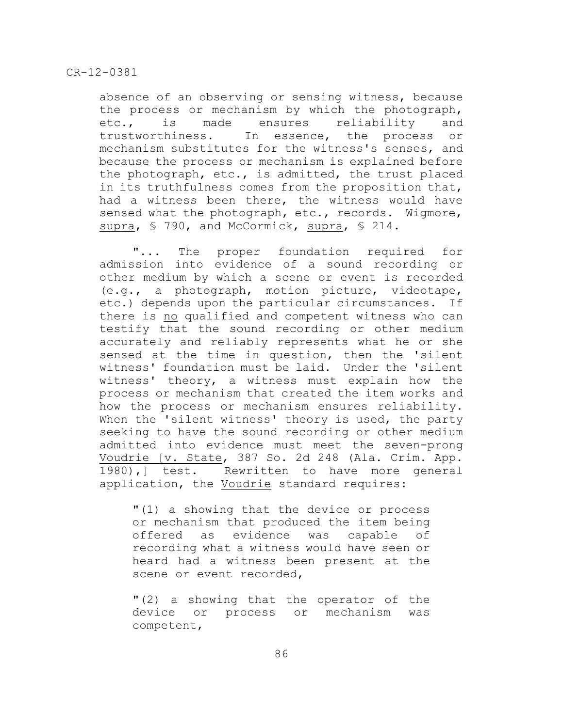absence of an observing or sensing witness, because the process or mechanism by which the photograph, etc., is made ensures reliability and trustworthiness. In essence, the process or mechanism substitutes for the witness's senses, and because the process or mechanism is explained before the photograph, etc., is admitted, the trust placed in its truthfulness comes from the proposition that, had a witness been there, the witness would have sensed what the photograph, etc., records. Wigmore, supra, § 790, and McCormick, supra, § 214.

"... The proper foundation required for admission into evidence of a sound recording or other medium by which a scene or event is recorded (e.g., a photograph, motion picture, videotape, etc.) depends upon the particular circumstances. If there is no qualified and competent witness who can testify that the sound recording or other medium accurately and reliably represents what he or she sensed at the time in question, then the 'silent witness' foundation must be laid. Under the 'silent witness' theory, a witness must explain how the process or mechanism that created the item works and how the process or mechanism ensures reliability. When the 'silent witness' theory is used, the party seeking to have the sound recording or other medium admitted into evidence must meet the seven-prong Voudrie [v. State, 387 So. 2d 248 (Ala. Crim. App. 1980),] test. Rewritten to have more general application, the Voudrie standard requires:

"(1) a showing that the device or process or mechanism that produced the item being offered as evidence was capable of recording what a witness would have seen or heard had a witness been present at the scene or event recorded,

"(2) a showing that the operator of the device or process or mechanism was competent,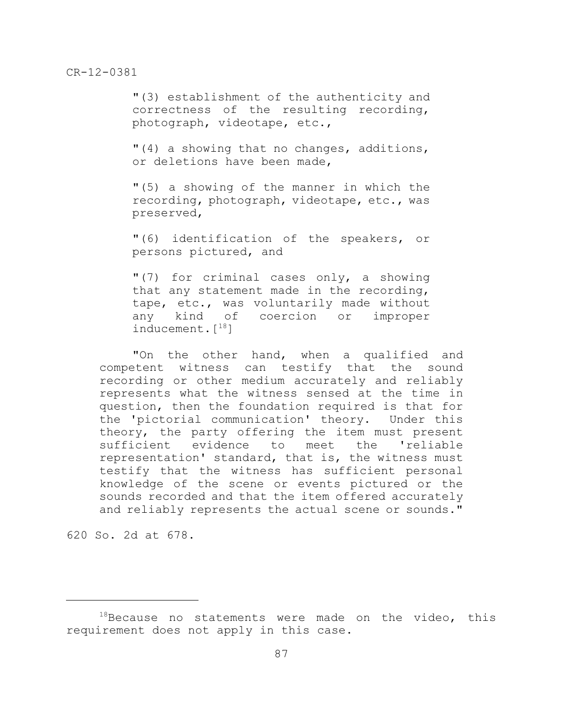"(3) establishment of the authenticity and correctness of the resulting recording, photograph, videotape, etc.,

"(4) a showing that no changes, additions, or deletions have been made,

"(5) a showing of the manner in which the recording, photograph, videotape, etc., was preserved,

"(6) identification of the speakers, or persons pictured, and

"(7) for criminal cases only, a showing that any statement made in the recording, tape, etc., was voluntarily made without any kind of coercion or improper inducement. $[$ <sup>18</sup>]

"On the other hand, when a qualified and competent witness can testify that the sound recording or other medium accurately and reliably represents what the witness sensed at the time in question, then the foundation required is that for the 'pictorial communication' theory. Under this theory, the party offering the item must present sufficient evidence to meet the 'reliable representation' standard, that is, the witness must testify that the witness has sufficient personal knowledge of the scene or events pictured or the sounds recorded and that the item offered accurately and reliably represents the actual scene or sounds."

620 So. 2d at 678.

 $18$ Because no statements were made on the video, this requirement does not apply in this case.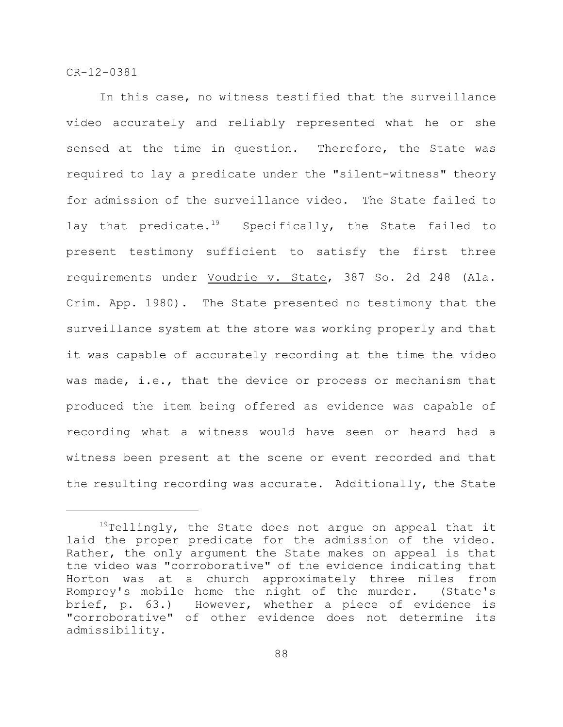In this case, no witness testified that the surveillance video accurately and reliably represented what he or she sensed at the time in question. Therefore, the State was required to lay a predicate under the "silent-witness" theory for admission of the surveillance video. The State failed to lay that predicate.<sup>19</sup> Specifically, the State failed to present testimony sufficient to satisfy the first three requirements under Voudrie v. State, 387 So. 2d 248 (Ala. Crim. App. 1980). The State presented no testimony that the surveillance system at the store was working properly and that it was capable of accurately recording at the time the video was made, i.e., that the device or process or mechanism that produced the item being offered as evidence was capable of recording what a witness would have seen or heard had a witness been present at the scene or event recorded and that the resulting recording was accurate. Additionally, the State

 $19$ Tellingly, the State does not argue on appeal that it laid the proper predicate for the admission of the video. Rather, the only argument the State makes on appeal is that the video was "corroborative" of the evidence indicating that Horton was at a church approximately three miles from Romprey's mobile home the night of the murder. (State's brief, p. 63.) However, whether a piece of evidence is "corroborative" of other evidence does not determine its admissibility.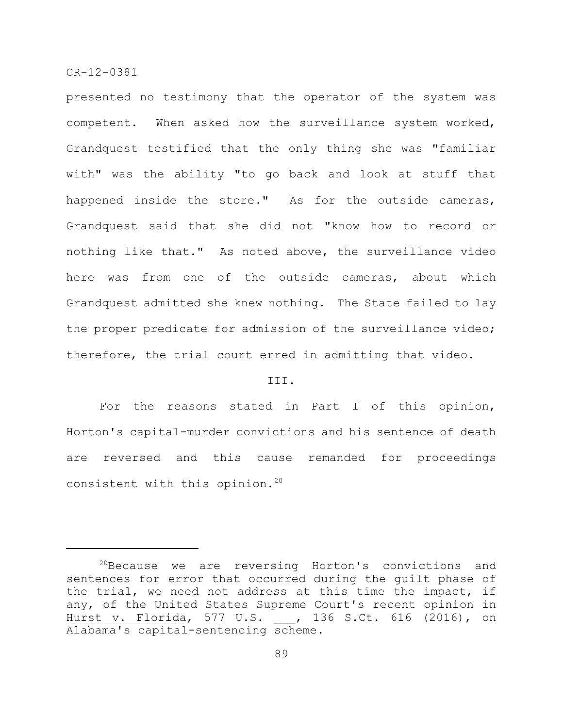presented no testimony that the operator of the system was competent. When asked how the surveillance system worked, Grandquest testified that the only thing she was "familiar with" was the ability "to go back and look at stuff that happened inside the store." As for the outside cameras, Grandquest said that she did not "know how to record or nothing like that." As noted above, the surveillance video here was from one of the outside cameras, about which Grandquest admitted she knew nothing. The State failed to lay the proper predicate for admission of the surveillance video; therefore, the trial court erred in admitting that video.

#### III.

For the reasons stated in Part I of this opinion, Horton's capital-murder convictions and his sentence of death are reversed and this cause remanded for proceedings consistent with this opinion.<sup>20</sup>

 $20B$ Because we are reversing Horton's convictions and sentences for error that occurred during the guilt phase of the trial, we need not address at this time the impact, if any, of the United States Supreme Court's recent opinion in Hurst v. Florida, 577 U.S. , 136 S.Ct. 616 (2016), on Alabama's capital-sentencing scheme.